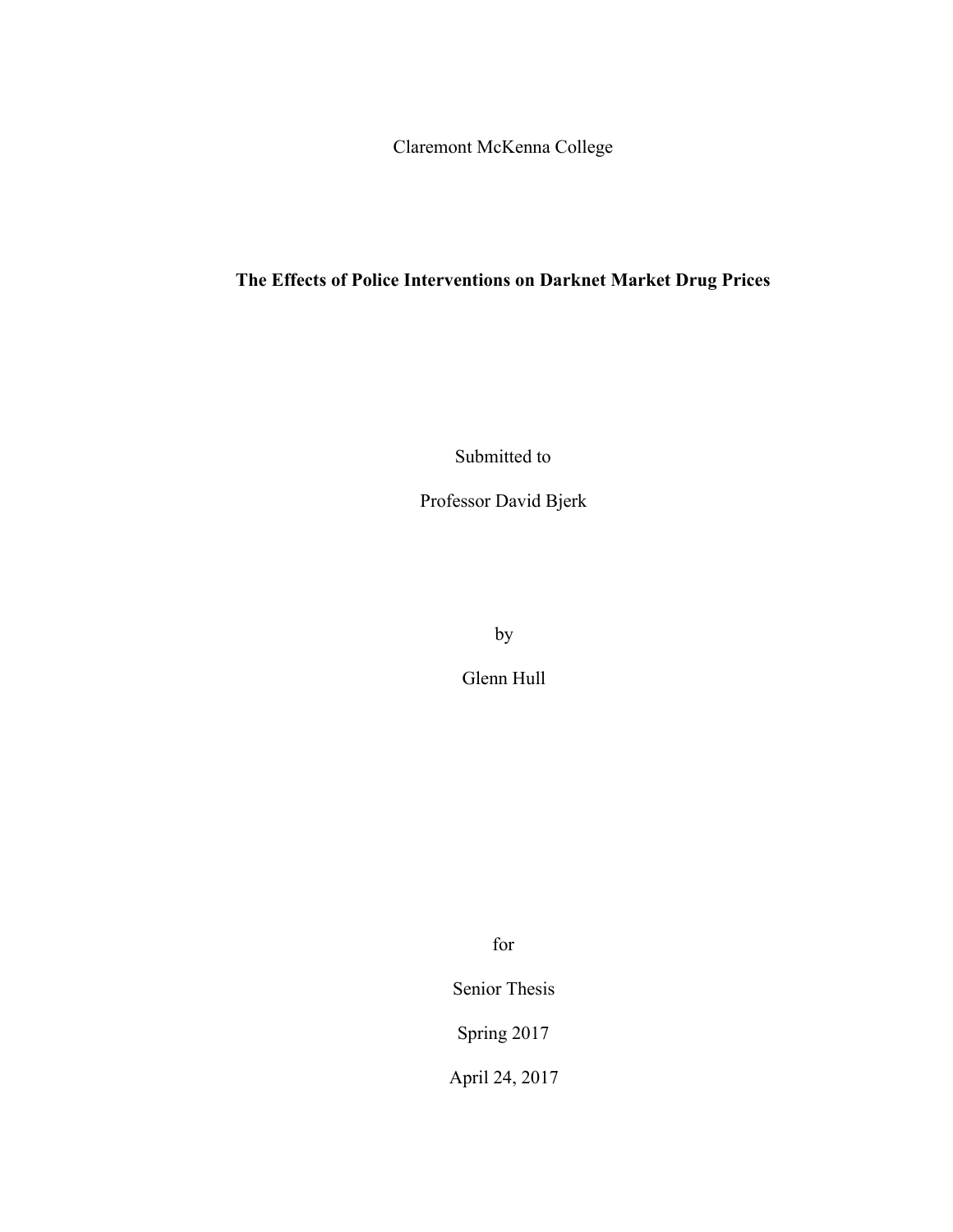Claremont McKenna College

# **The Effects of Police Interventions on Darknet Market Drug Prices**

Submitted to

Professor David Bjerk

by

Glenn Hull

for

Senior Thesis

Spring 2017

April 24, 2017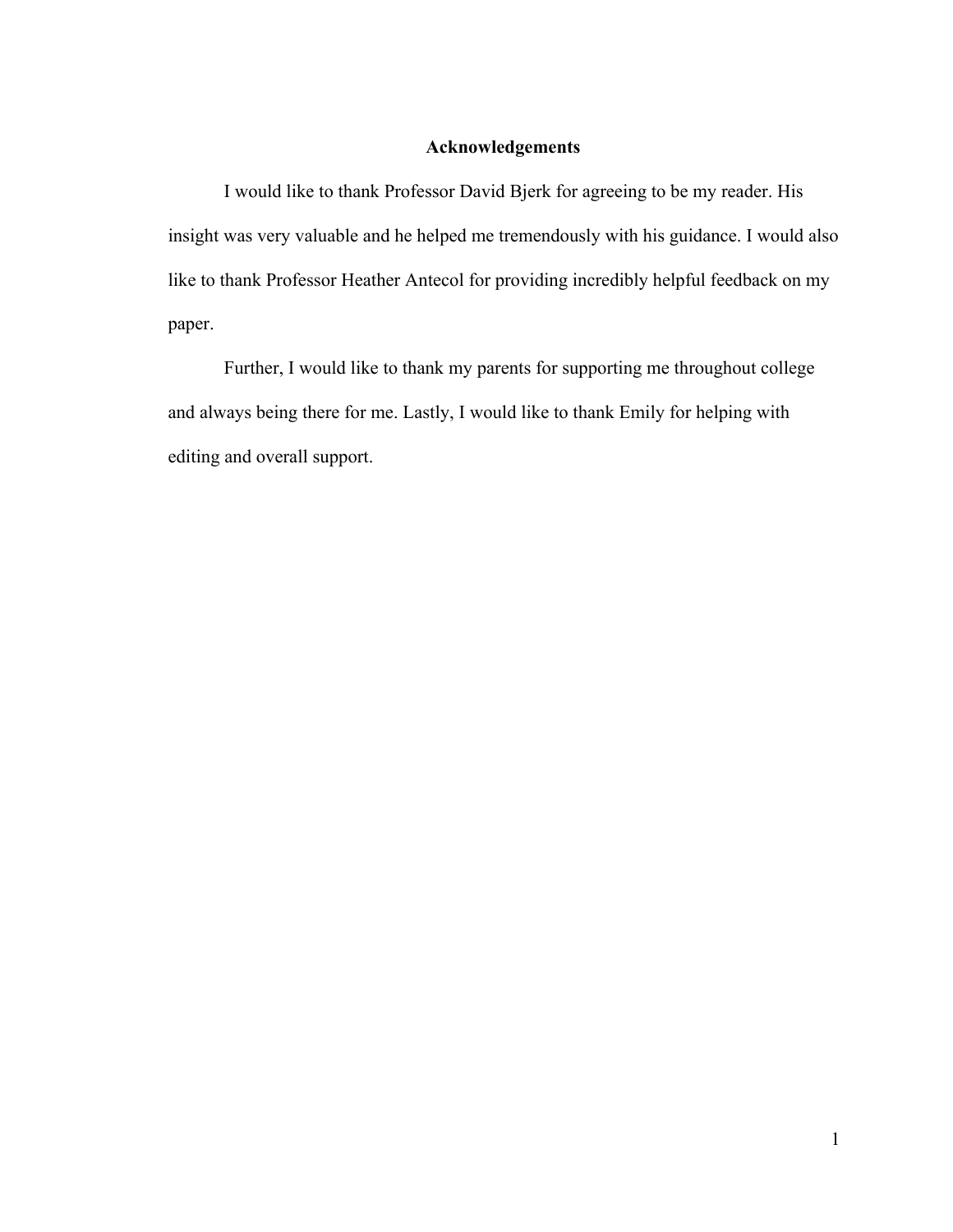## **Acknowledgements**

I would like to thank Professor David Bjerk for agreeing to be my reader. His insight was very valuable and he helped me tremendously with his guidance. I would also like to thank Professor Heather Antecol for providing incredibly helpful feedback on my paper.

Further, I would like to thank my parents for supporting me throughout college and always being there for me. Lastly, I would like to thank Emily for helping with editing and overall support.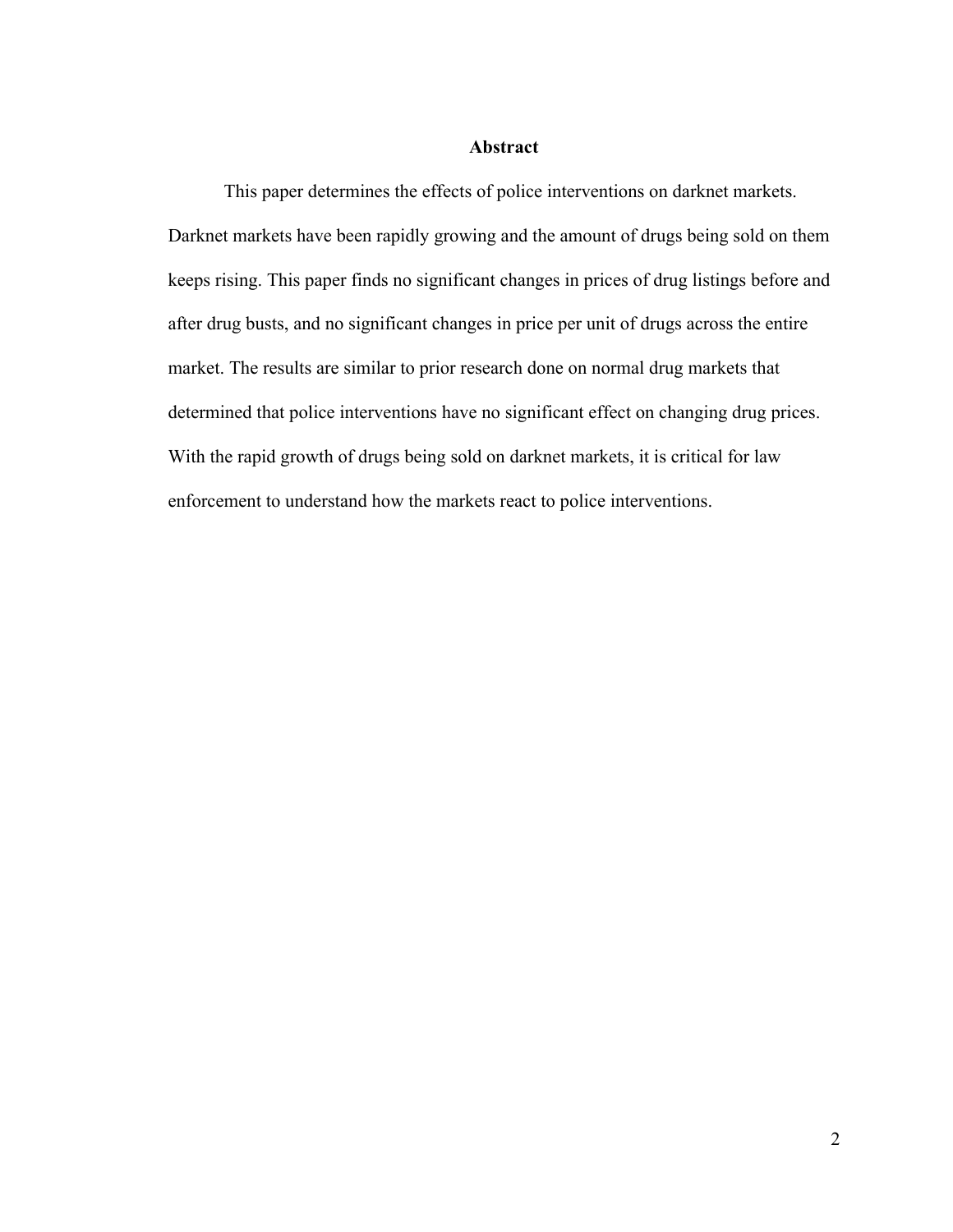#### **Abstract**

This paper determines the effects of police interventions on darknet markets. Darknet markets have been rapidly growing and the amount of drugs being sold on them keeps rising. This paper finds no significant changes in prices of drug listings before and after drug busts, and no significant changes in price per unit of drugs across the entire market. The results are similar to prior research done on normal drug markets that determined that police interventions have no significant effect on changing drug prices. With the rapid growth of drugs being sold on darknet markets, it is critical for law enforcement to understand how the markets react to police interventions.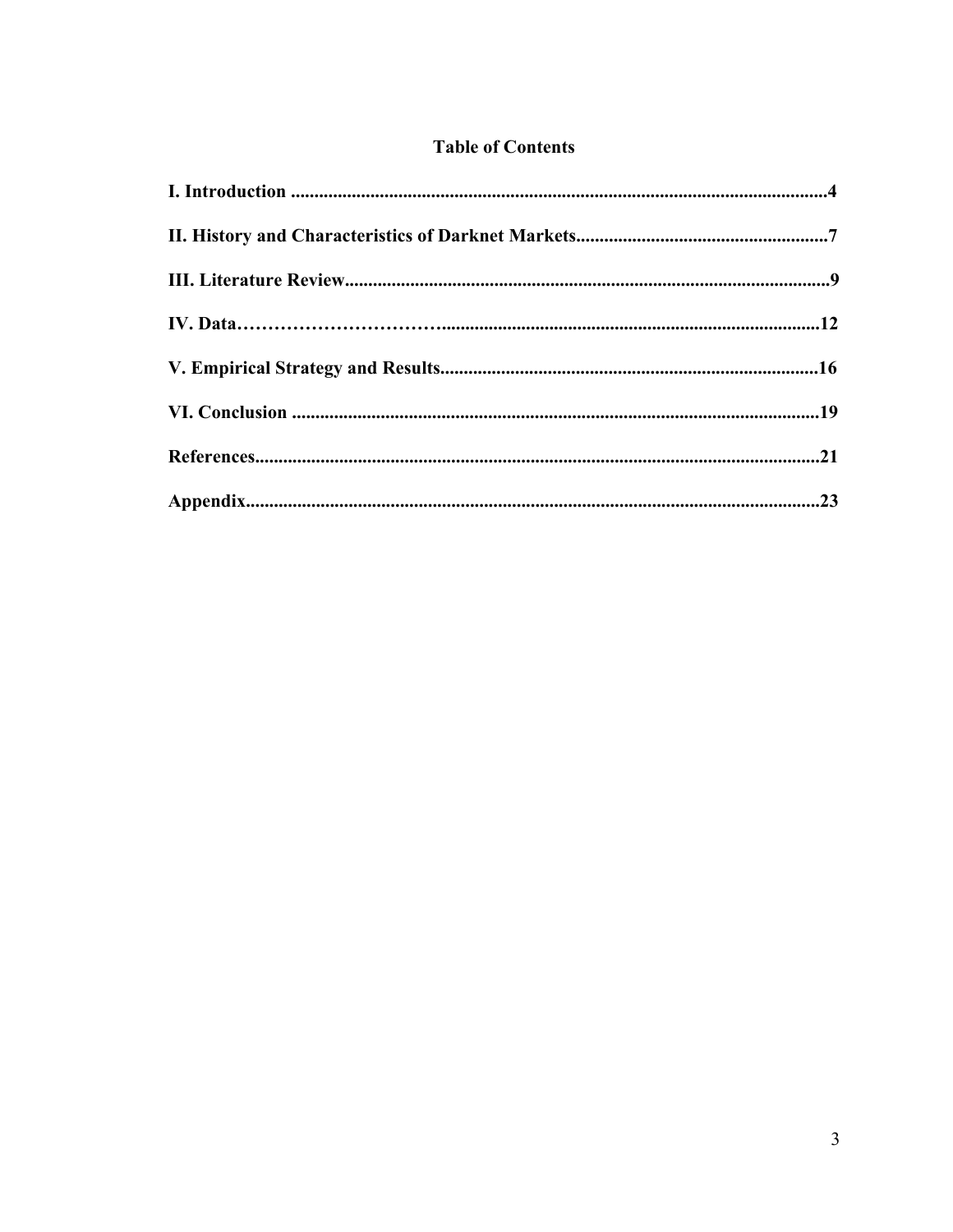## **Table of Contents**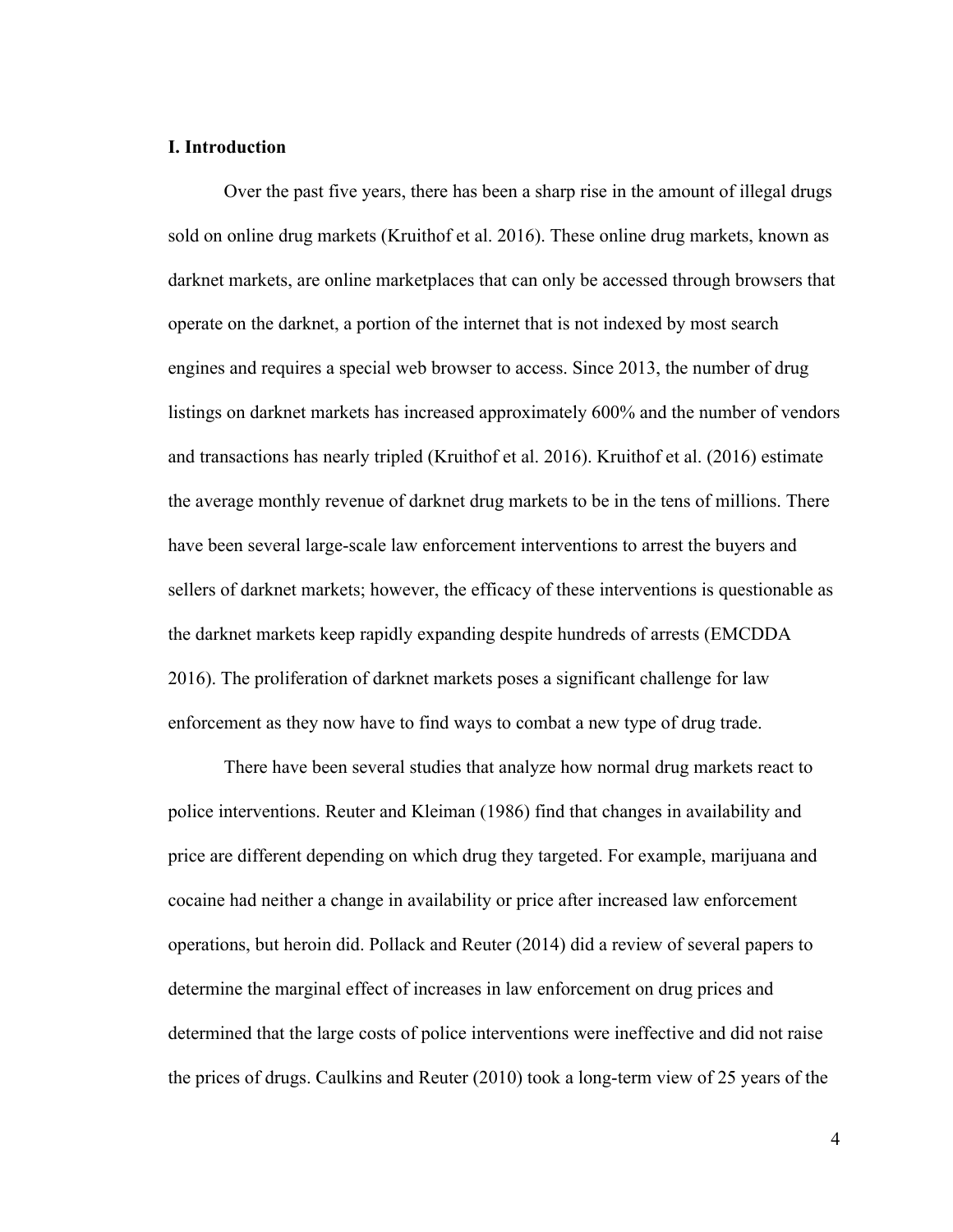## **I. Introduction**

Over the past five years, there has been a sharp rise in the amount of illegal drugs sold on online drug markets (Kruithof et al. 2016). These online drug markets, known as darknet markets, are online marketplaces that can only be accessed through browsers that operate on the darknet, a portion of the internet that is not indexed by most search engines and requires a special web browser to access. Since 2013, the number of drug listings on darknet markets has increased approximately 600% and the number of vendors and transactions has nearly tripled (Kruithof et al. 2016). Kruithof et al. (2016) estimate the average monthly revenue of darknet drug markets to be in the tens of millions. There have been several large-scale law enforcement interventions to arrest the buyers and sellers of darknet markets; however, the efficacy of these interventions is questionable as the darknet markets keep rapidly expanding despite hundreds of arrests (EMCDDA 2016). The proliferation of darknet markets poses a significant challenge for law enforcement as they now have to find ways to combat a new type of drug trade.

There have been several studies that analyze how normal drug markets react to police interventions. Reuter and Kleiman (1986) find that changes in availability and price are different depending on which drug they targeted. For example, marijuana and cocaine had neither a change in availability or price after increased law enforcement operations, but heroin did. Pollack and Reuter (2014) did a review of several papers to determine the marginal effect of increases in law enforcement on drug prices and determined that the large costs of police interventions were ineffective and did not raise the prices of drugs. Caulkins and Reuter (2010) took a long-term view of 25 years of the

4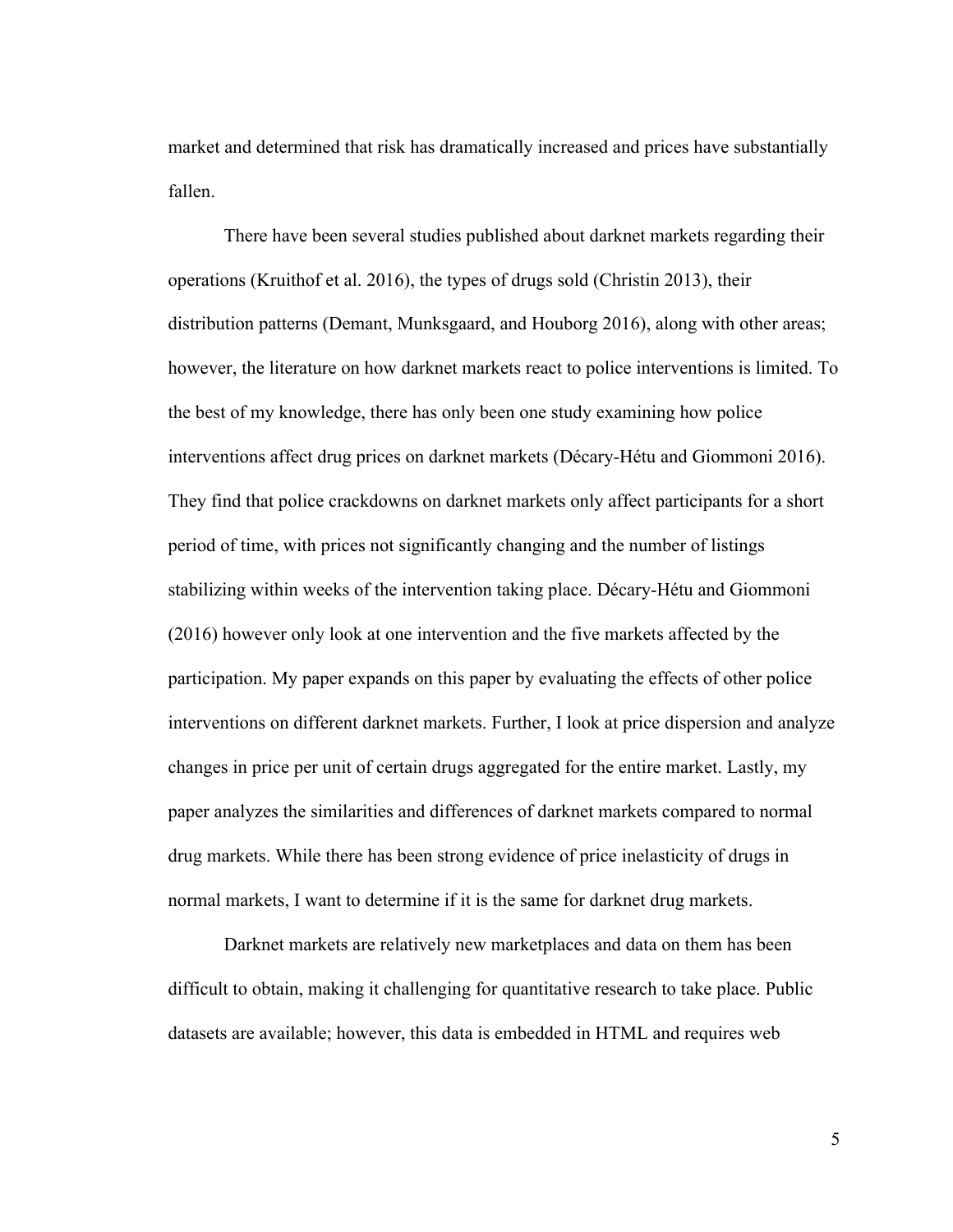market and determined that risk has dramatically increased and prices have substantially fallen.

There have been several studies published about darknet markets regarding their operations (Kruithof et al. 2016), the types of drugs sold (Christin 2013), their distribution patterns (Demant, Munksgaard, and Houborg 2016), along with other areas; however, the literature on how darknet markets react to police interventions is limited. To the best of my knowledge, there has only been one study examining how police interventions affect drug prices on darknet markets (Décary-Hétu and Giommoni 2016). They find that police crackdowns on darknet markets only affect participants for a short period of time, with prices not significantly changing and the number of listings stabilizing within weeks of the intervention taking place. Décary-Hétu and Giommoni (2016) however only look at one intervention and the five markets affected by the participation. My paper expands on this paper by evaluating the effects of other police interventions on different darknet markets. Further, I look at price dispersion and analyze changes in price per unit of certain drugs aggregated for the entire market. Lastly, my paper analyzes the similarities and differences of darknet markets compared to normal drug markets. While there has been strong evidence of price inelasticity of drugs in normal markets, I want to determine if it is the same for darknet drug markets.

Darknet markets are relatively new marketplaces and data on them has been difficult to obtain, making it challenging for quantitative research to take place. Public datasets are available; however, this data is embedded in HTML and requires web

5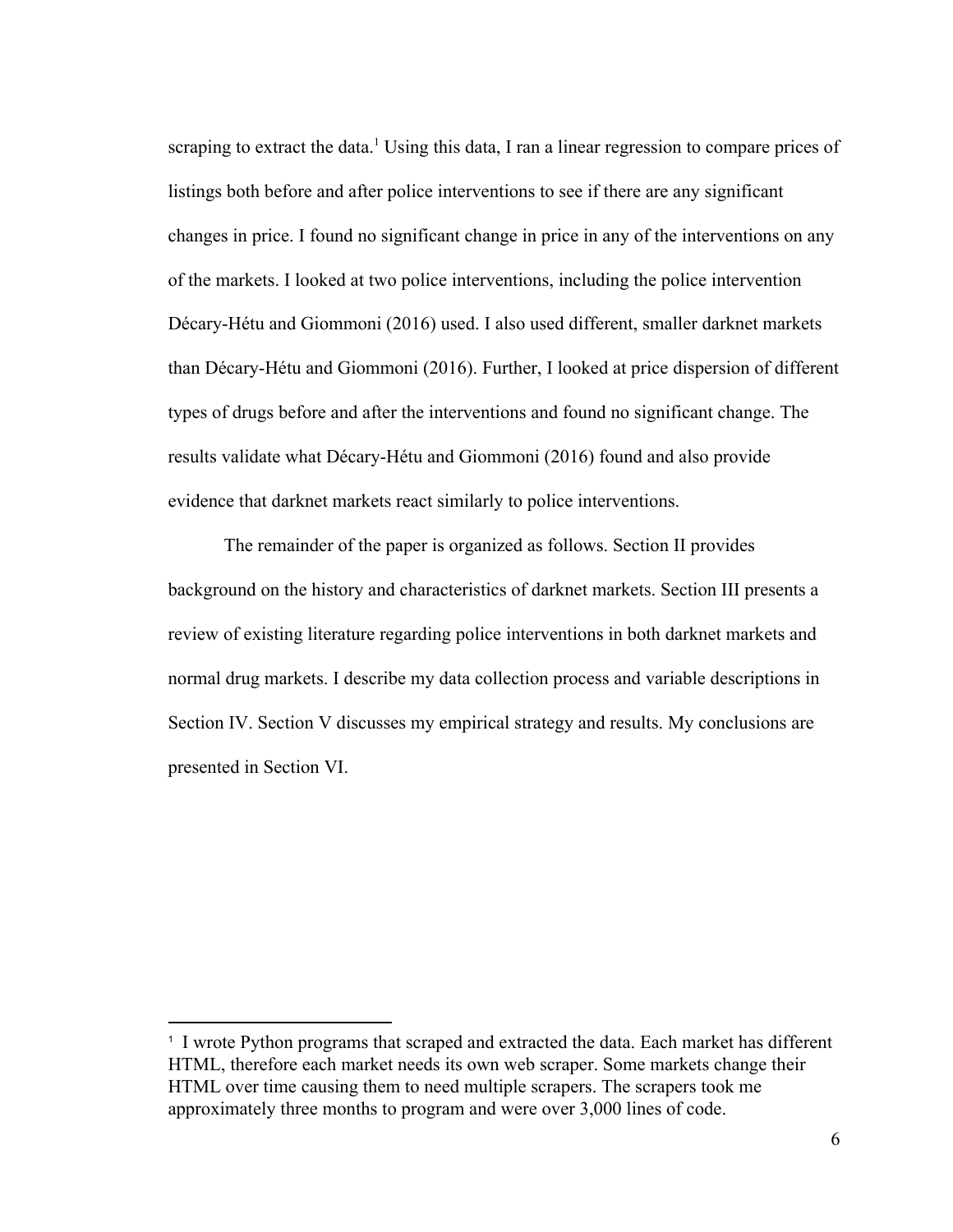scraping to extract the data.<sup>1</sup> Using this data, I ran a linear regression to compare prices of listings both before and after police interventions to see if there are any significant changes in price. I found no significant change in price in any of the interventions on any of the markets. I looked at two police interventions, including the police intervention Décary-Hétu and Giommoni (2016) used. I also used different, smaller darknet markets than Décary-Hétu and Giommoni (2016). Further, I looked at price dispersion of different types of drugs before and after the interventions and found no significant change. The results validate what Décary-Hétu and Giommoni (2016) found and also provide evidence that darknet markets react similarly to police interventions.

The remainder of the paper is organized as follows. Section II provides background on the history and characteristics of darknet markets. Section III presents a review of existing literature regarding police interventions in both darknet markets and normal drug markets. I describe my data collection process and variable descriptions in Section IV. Section V discusses my empirical strategy and results. My conclusions are presented in Section VI.

<sup>&</sup>lt;sup>1</sup> I wrote Python programs that scraped and extracted the data. Each market has different HTML, therefore each market needs its own web scraper. Some markets change their HTML over time causing them to need multiple scrapers. The scrapers took me approximately three months to program and were over 3,000 lines of code.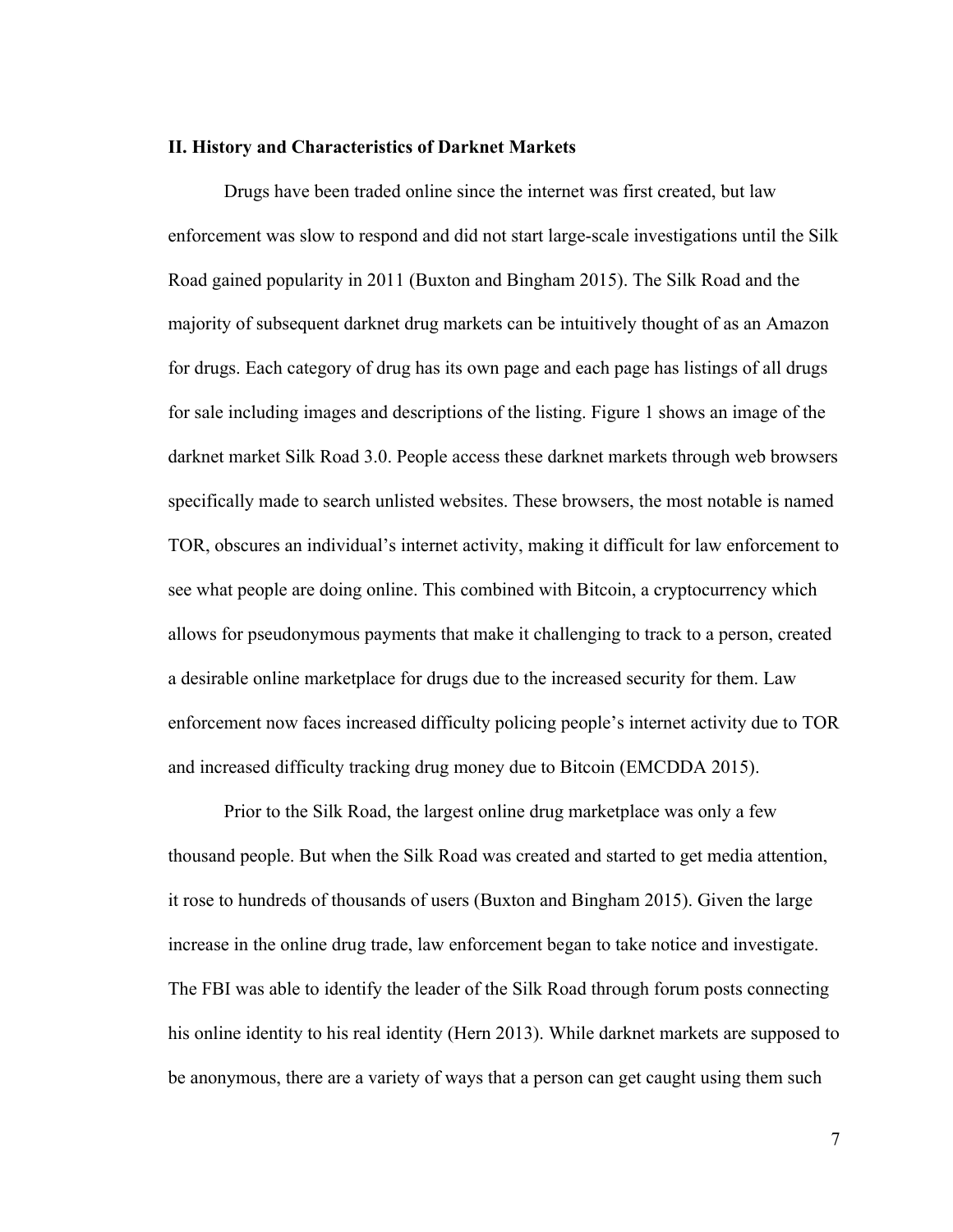#### **II. History and Characteristics of Darknet Markets**

Drugs have been traded online since the internet was first created, but law enforcement was slow to respond and did not start large-scale investigations until the Silk Road gained popularity in 2011 (Buxton and Bingham 2015). The Silk Road and the majority of subsequent darknet drug markets can be intuitively thought of as an Amazon for drugs. Each category of drug has its own page and each page has listings of all drugs for sale including images and descriptions of the listing. Figure 1 shows an image of the darknet market Silk Road 3.0. People access these darknet markets through web browsers specifically made to search unlisted websites. These browsers, the most notable is named TOR, obscures an individual's internet activity, making it difficult for law enforcement to see what people are doing online. This combined with Bitcoin, a cryptocurrency which allows for pseudonymous payments that make it challenging to track to a person, created a desirable online marketplace for drugs due to the increased security for them. Law enforcement now faces increased difficulty policing people's internet activity due to TOR and increased difficulty tracking drug money due to Bitcoin (EMCDDA 2015).

Prior to the Silk Road, the largest online drug marketplace was only a few thousand people. But when the Silk Road was created and started to get media attention, it rose to hundreds of thousands of users (Buxton and Bingham 2015). Given the large increase in the online drug trade, law enforcement began to take notice and investigate. The FBI was able to identify the leader of the Silk Road through forum posts connecting his online identity to his real identity (Hern 2013). While darknet markets are supposed to be anonymous, there are a variety of ways that a person can get caught using them such

7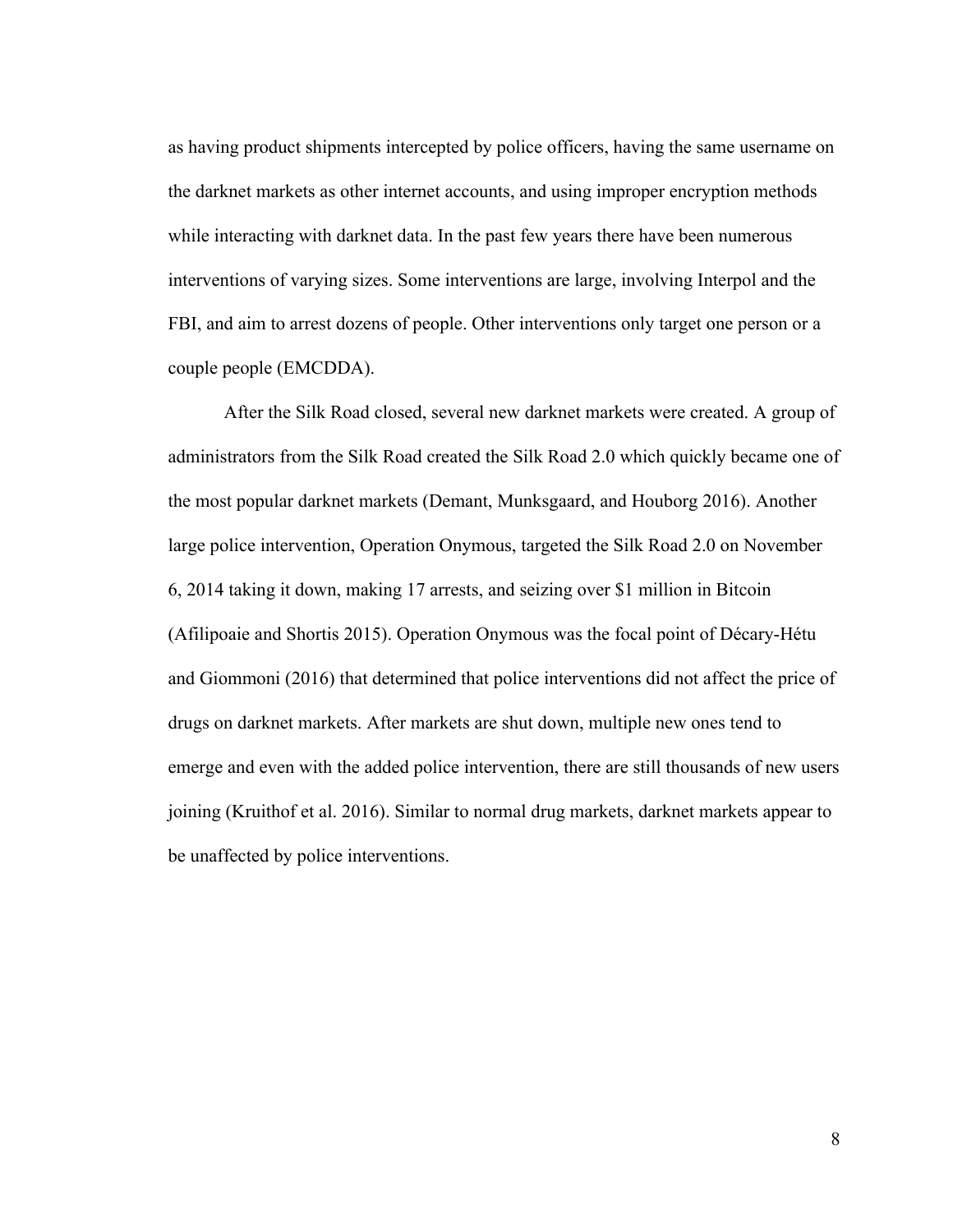as having product shipments intercepted by police officers, having the same username on the darknet markets as other internet accounts, and using improper encryption methods while interacting with darknet data. In the past few years there have been numerous interventions of varying sizes. Some interventions are large, involving Interpol and the FBI, and aim to arrest dozens of people. Other interventions only target one person or a couple people (EMCDDA).

After the Silk Road closed, several new darknet markets were created. A group of administrators from the Silk Road created the Silk Road 2.0 which quickly became one of the most popular darknet markets (Demant, Munksgaard, and Houborg 2016). Another large police intervention, Operation Onymous, targeted the Silk Road 2.0 on November 6, 2014 taking it down, making 17 arrests, and seizing over \$1 million in Bitcoin (Afilipoaie and Shortis 2015). Operation Onymous was the focal point of Décary-Hétu and Giommoni (2016) that determined that police interventions did not affect the price of drugs on darknet markets. After markets are shut down, multiple new ones tend to emerge and even with the added police intervention, there are still thousands of new users joining (Kruithof et al. 2016). Similar to normal drug markets, darknet markets appear to be unaffected by police interventions.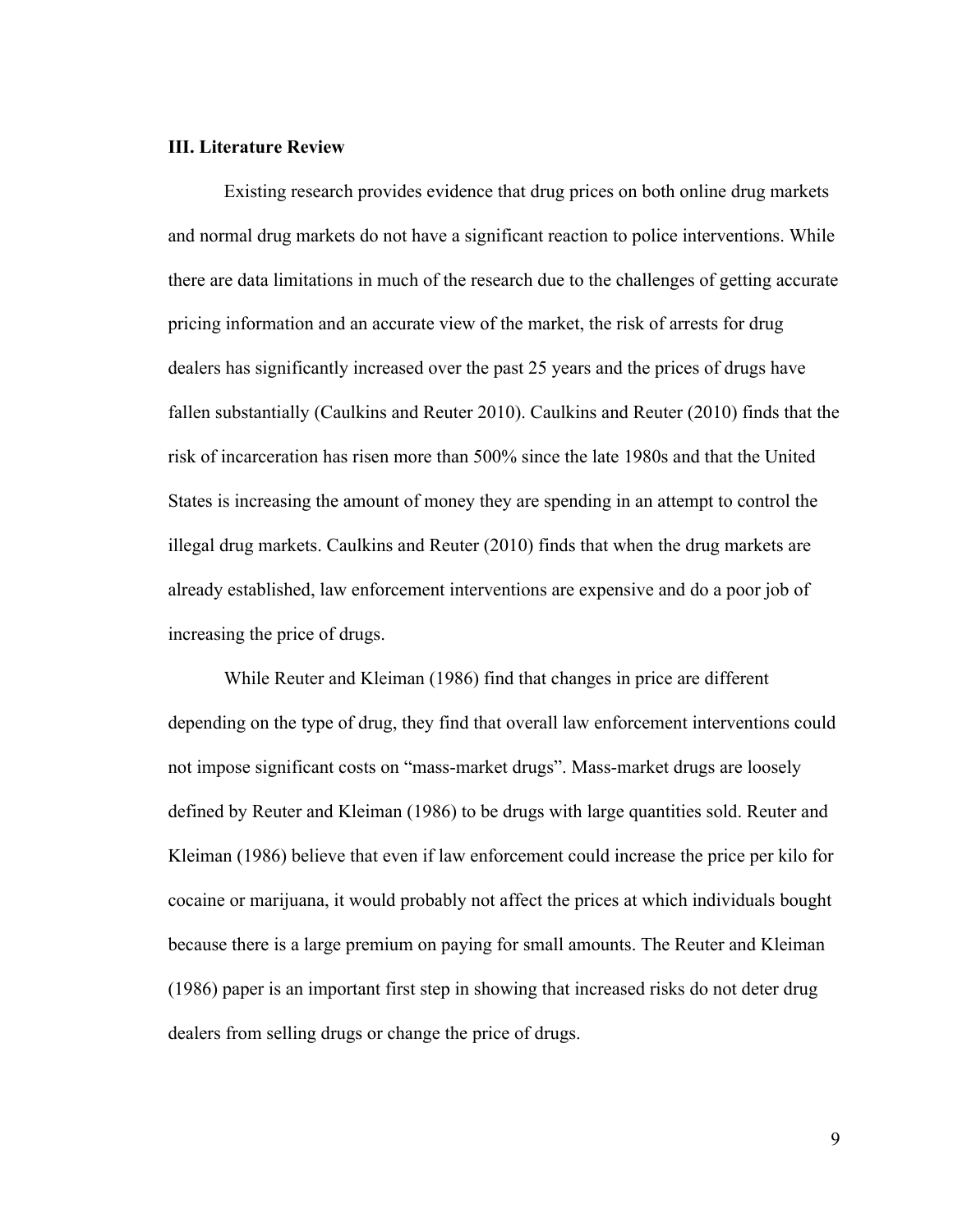### **III. Literature Review**

Existing research provides evidence that drug prices on both online drug markets and normal drug markets do not have a significant reaction to police interventions. While there are data limitations in much of the research due to the challenges of getting accurate pricing information and an accurate view of the market, the risk of arrests for drug dealers has significantly increased over the past 25 years and the prices of drugs have fallen substantially (Caulkins and Reuter 2010). Caulkins and Reuter (2010) finds that the risk of incarceration has risen more than 500% since the late 1980s and that the United States is increasing the amount of money they are spending in an attempt to control the illegal drug markets. Caulkins and Reuter (2010) finds that when the drug markets are already established, law enforcement interventions are expensive and do a poor job of increasing the price of drugs.

While Reuter and Kleiman (1986) find that changes in price are different depending on the type of drug, they find that overall law enforcement interventions could not impose significant costs on "mass-market drugs". Mass-market drugs are loosely defined by Reuter and Kleiman (1986) to be drugs with large quantities sold. Reuter and Kleiman (1986) believe that even if law enforcement could increase the price per kilo for cocaine or marijuana, it would probably not affect the prices at which individuals bought because there is a large premium on paying for small amounts. The Reuter and Kleiman (1986) paper is an important first step in showing that increased risks do not deter drug dealers from selling drugs or change the price of drugs.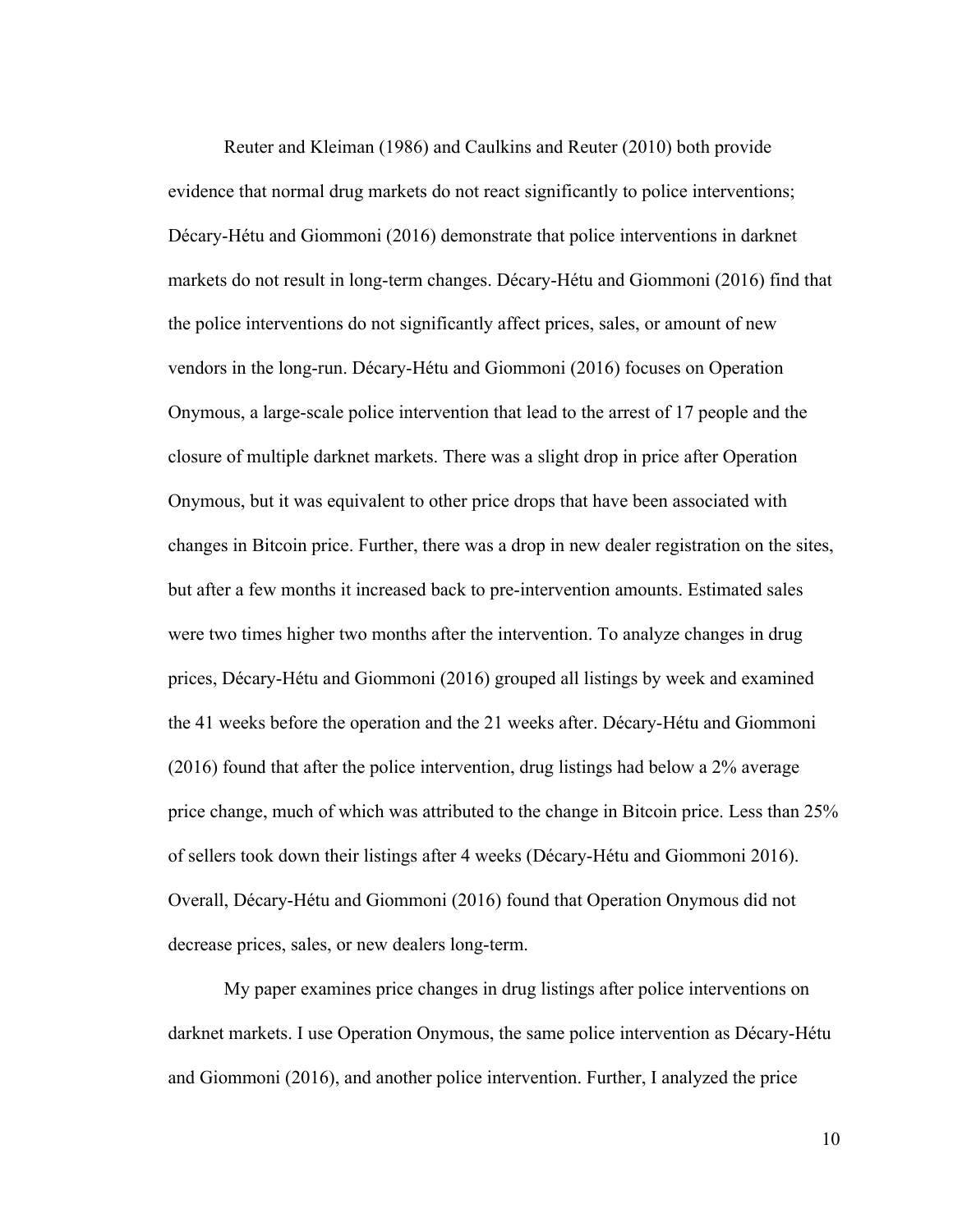Reuter and Kleiman (1986) and Caulkins and Reuter (2010) both provide evidence that normal drug markets do not react significantly to police interventions; Décary-Hétu and Giommoni (2016) demonstrate that police interventions in darknet markets do not result in long-term changes. Décary-Hétu and Giommoni (2016) find that the police interventions do not significantly affect prices, sales, or amount of new vendors in the long-run. Décary-Hétu and Giommoni (2016) focuses on Operation Onymous, a large-scale police intervention that lead to the arrest of 17 people and the closure of multiple darknet markets. There was a slight drop in price after Operation Onymous, but it was equivalent to other price drops that have been associated with changes in Bitcoin price. Further, there was a drop in new dealer registration on the sites, but after a few months it increased back to pre-intervention amounts. Estimated sales were two times higher two months after the intervention. To analyze changes in drug prices, Décary-Hétu and Giommoni (2016) grouped all listings by week and examined the 41 weeks before the operation and the 21 weeks after. Décary-Hétu and Giommoni (2016) found that after the police intervention, drug listings had below a 2% average price change, much of which was attributed to the change in Bitcoin price. Less than 25% of sellers took down their listings after 4 weeks (Décary-Hétu and Giommoni 2016). Overall, Décary-Hétu and Giommoni (2016) found that Operation Onymous did not decrease prices, sales, or new dealers long-term.

My paper examines price changes in drug listings after police interventions on darknet markets. I use Operation Onymous, the same police intervention as Décary-Hétu and Giommoni (2016), and another police intervention. Further, I analyzed the price

10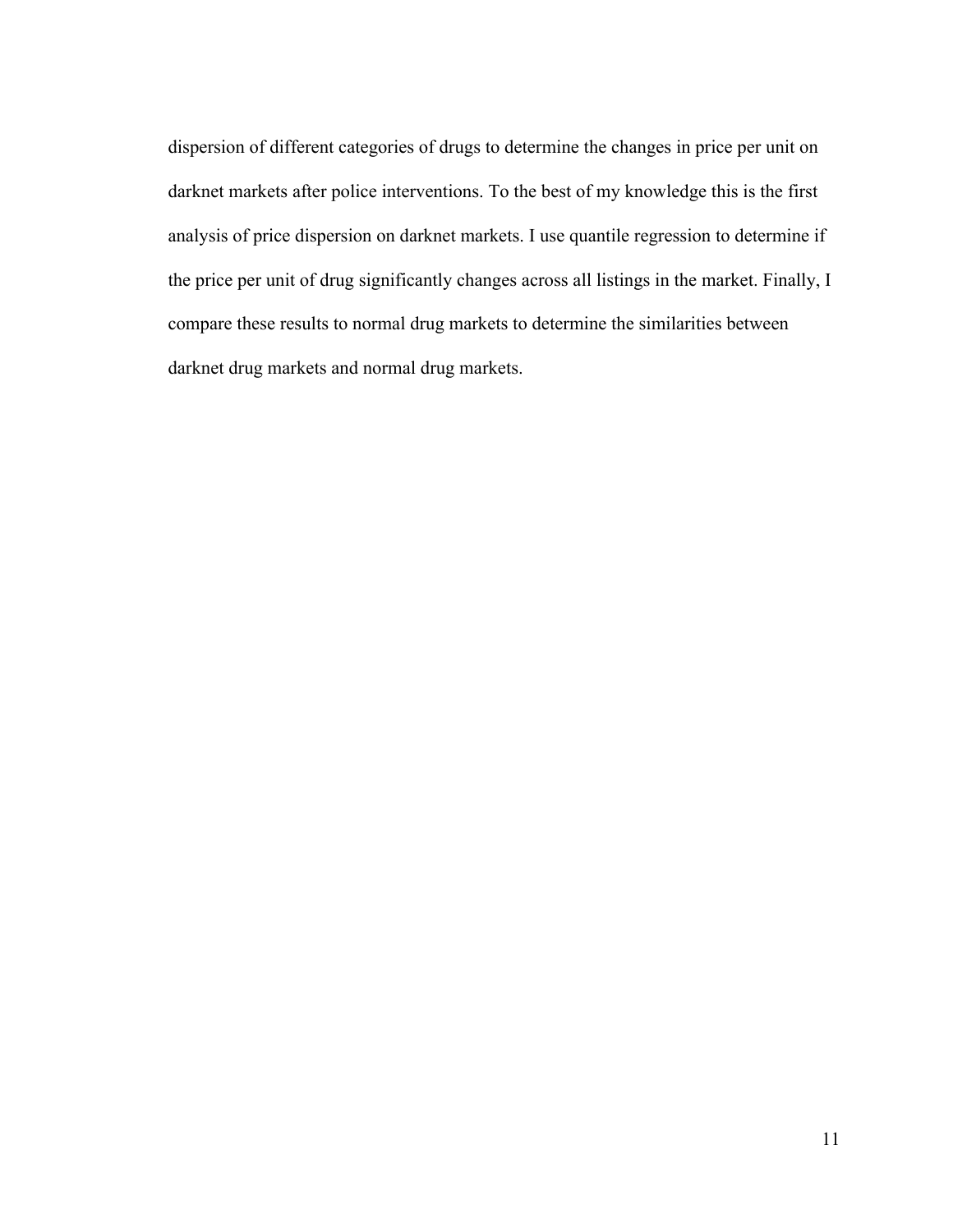dispersion of different categories of drugs to determine the changes in price per unit on darknet markets after police interventions. To the best of my knowledge this is the first analysis of price dispersion on darknet markets. I use quantile regression to determine if the price per unit of drug significantly changes across all listings in the market. Finally, I compare these results to normal drug markets to determine the similarities between darknet drug markets and normal drug markets.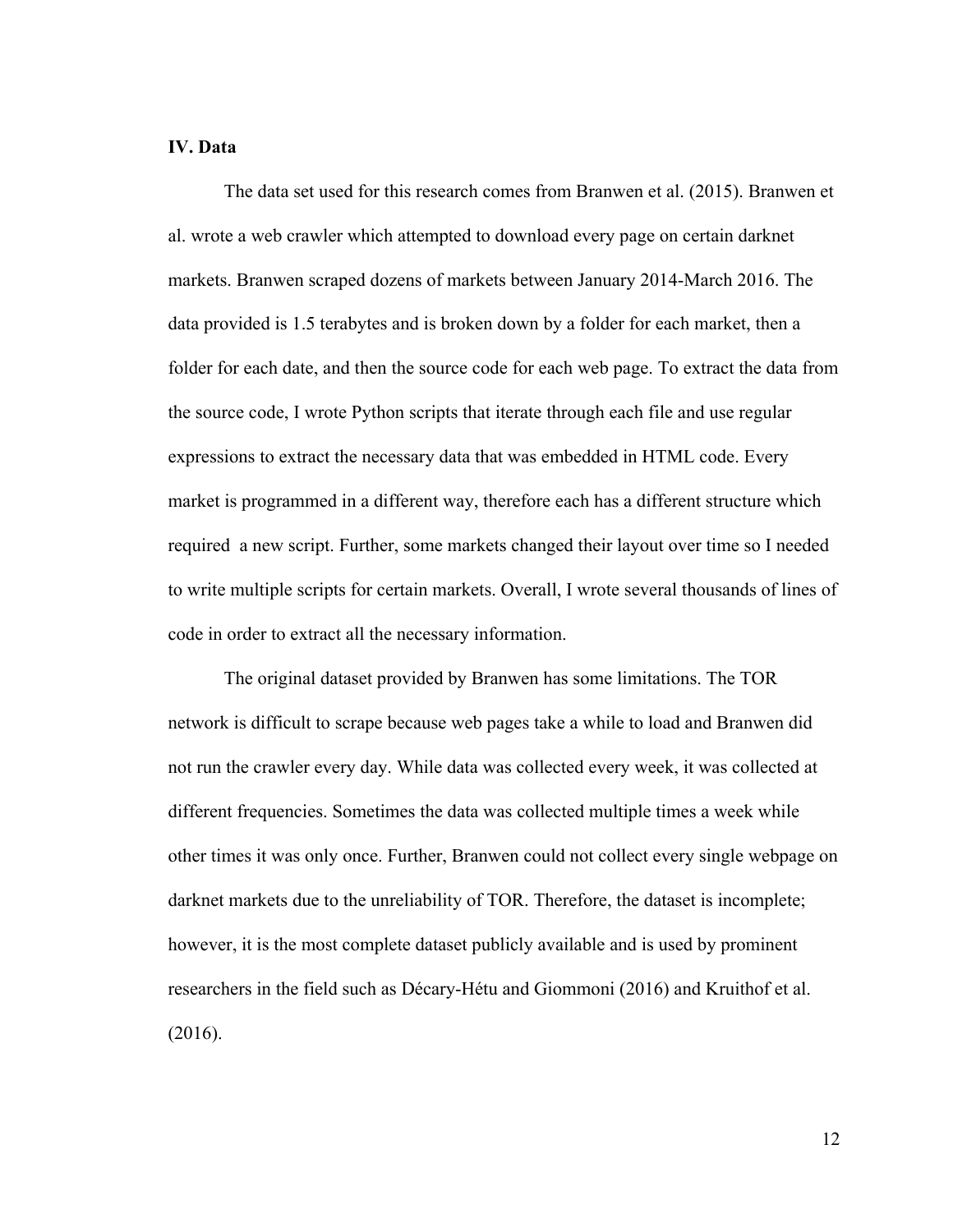## **IV. Data**

The data set used for this research comes from Branwen et al. (2015). Branwen et al. wrote a web crawler which attempted to download every page on certain darknet markets. Branwen scraped dozens of markets between January 2014-March 2016. The data provided is 1.5 terabytes and is broken down by a folder for each market, then a folder for each date, and then the source code for each web page. To extract the data from the source code, I wrote Python scripts that iterate through each file and use regular expressions to extract the necessary data that was embedded in HTML code. Every market is programmed in a different way, therefore each has a different structure which required a new script. Further, some markets changed their layout over time so I needed to write multiple scripts for certain markets. Overall, I wrote several thousands of lines of code in order to extract all the necessary information.

The original dataset provided by Branwen has some limitations. The TOR network is difficult to scrape because web pages take a while to load and Branwen did not run the crawler every day. While data was collected every week, it was collected at different frequencies. Sometimes the data was collected multiple times a week while other times it was only once. Further, Branwen could not collect every single webpage on darknet markets due to the unreliability of TOR. Therefore, the dataset is incomplete; however, it is the most complete dataset publicly available and is used by prominent researchers in the field such as Décary-Hétu and Giommoni (2016) and Kruithof et al. (2016).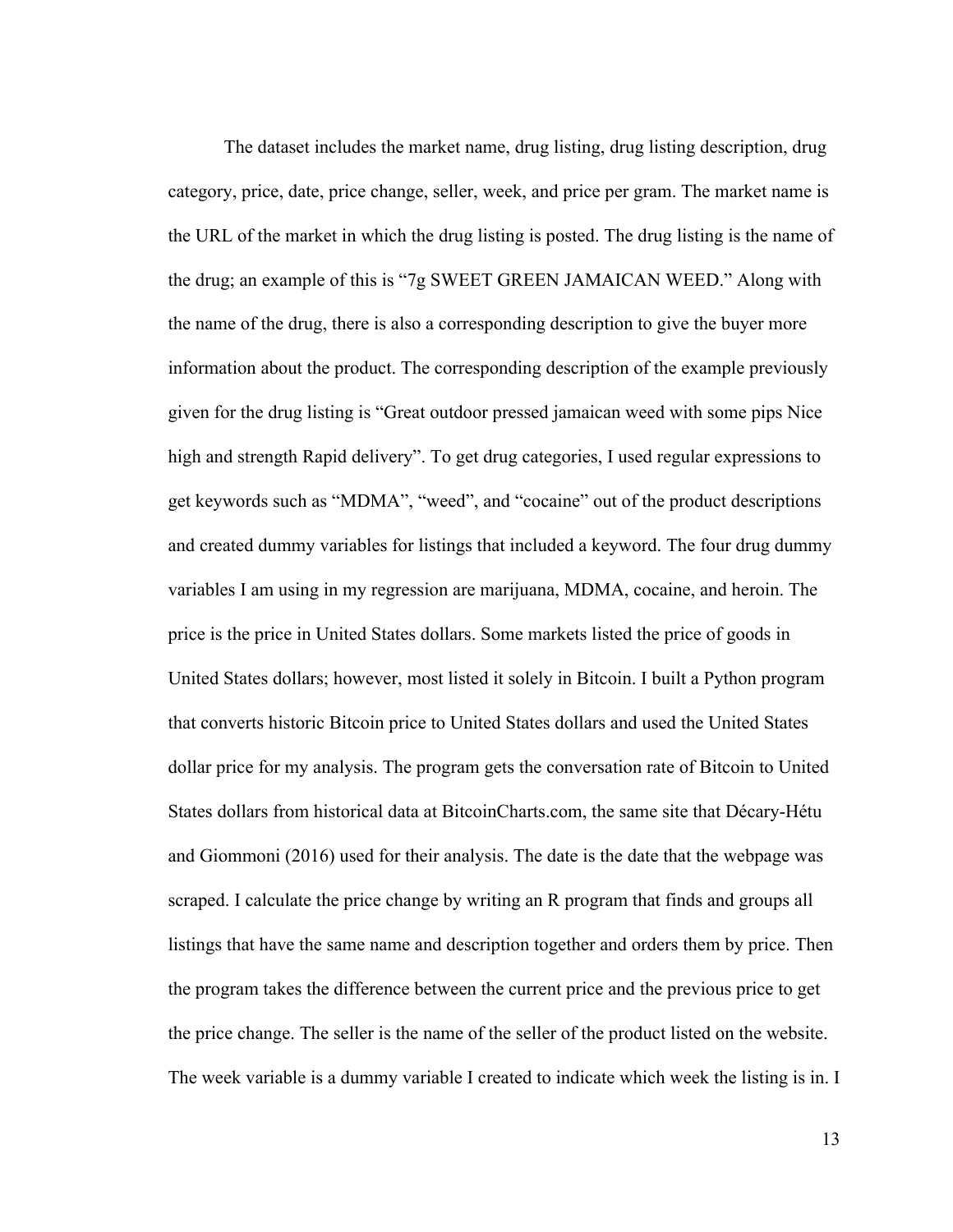The dataset includes the market name, drug listing, drug listing description, drug category, price, date, price change, seller, week, and price per gram. The market name is the URL of the market in which the drug listing is posted. The drug listing is the name of the drug; an example of this is "7g SWEET GREEN JAMAICAN WEED." Along with the name of the drug, there is also a corresponding description to give the buyer more information about the product. The corresponding description of the example previously given for the drug listing is "Great outdoor pressed jamaican weed with some pips Nice high and strength Rapid delivery". To get drug categories, I used regular expressions to get keywords such as "MDMA", "weed", and "cocaine" out of the product descriptions and created dummy variables for listings that included a keyword. The four drug dummy variables I am using in my regression are marijuana, MDMA, cocaine, and heroin. The price is the price in United States dollars. Some markets listed the price of goods in United States dollars; however, most listed it solely in Bitcoin. I built a Python program that converts historic Bitcoin price to United States dollars and used the United States dollar price for my analysis. The program gets the conversation rate of Bitcoin to United States dollars from historical data at BitcoinCharts.com, the same site that Décary-Hétu and Giommoni (2016) used for their analysis. The date is the date that the webpage was scraped. I calculate the price change by writing an R program that finds and groups all listings that have the same name and description together and orders them by price. Then the program takes the difference between the current price and the previous price to get the price change. The seller is the name of the seller of the product listed on the website. The week variable is a dummy variable I created to indicate which week the listing is in. I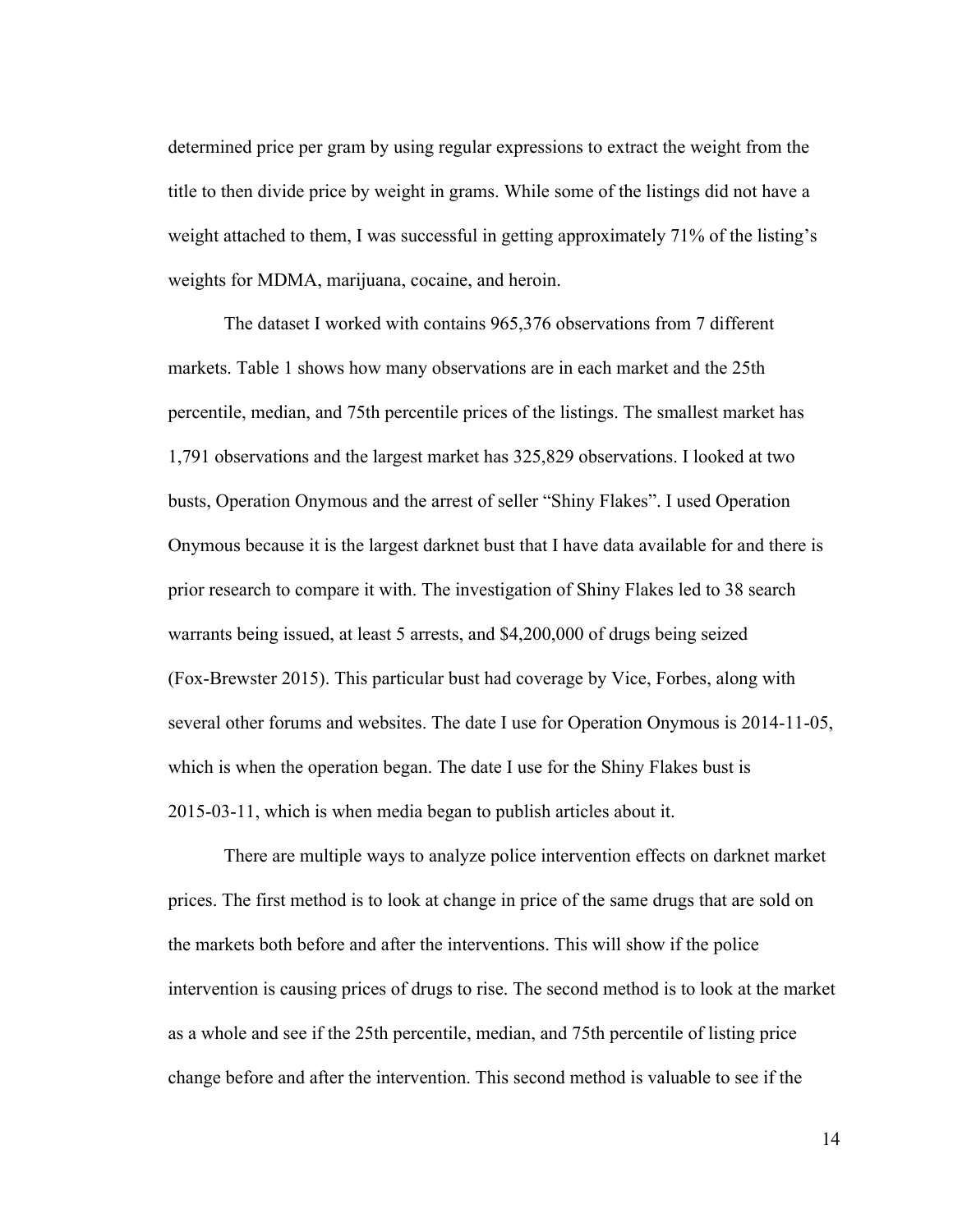determined price per gram by using regular expressions to extract the weight from the title to then divide price by weight in grams. While some of the listings did not have a weight attached to them, I was successful in getting approximately 71% of the listing's weights for MDMA, marijuana, cocaine, and heroin.

The dataset I worked with contains 965,376 observations from 7 different markets. Table 1 shows how many observations are in each market and the 25th percentile, median, and 75th percentile prices of the listings. The smallest market has 1,791 observations and the largest market has 325,829 observations. I looked at two busts, Operation Onymous and the arrest of seller "Shiny Flakes". I used Operation Onymous because it is the largest darknet bust that I have data available for and there is prior research to compare it with. The investigation of Shiny Flakes led to 38 search warrants being issued, at least 5 arrests, and \$4,200,000 of drugs being seized (Fox-Brewster 2015). This particular bust had coverage by Vice, Forbes, along with several other forums and websites. The date I use for Operation Onymous is 2014-11-05, which is when the operation began. The date I use for the Shiny Flakes bust is 2015-03-11, which is when media began to publish articles about it.

There are multiple ways to analyze police intervention effects on darknet market prices. The first method is to look at change in price of the same drugs that are sold on the markets both before and after the interventions. This will show if the police intervention is causing prices of drugs to rise. The second method is to look at the market as a whole and see if the 25th percentile, median, and 75th percentile of listing price change before and after the intervention. This second method is valuable to see if the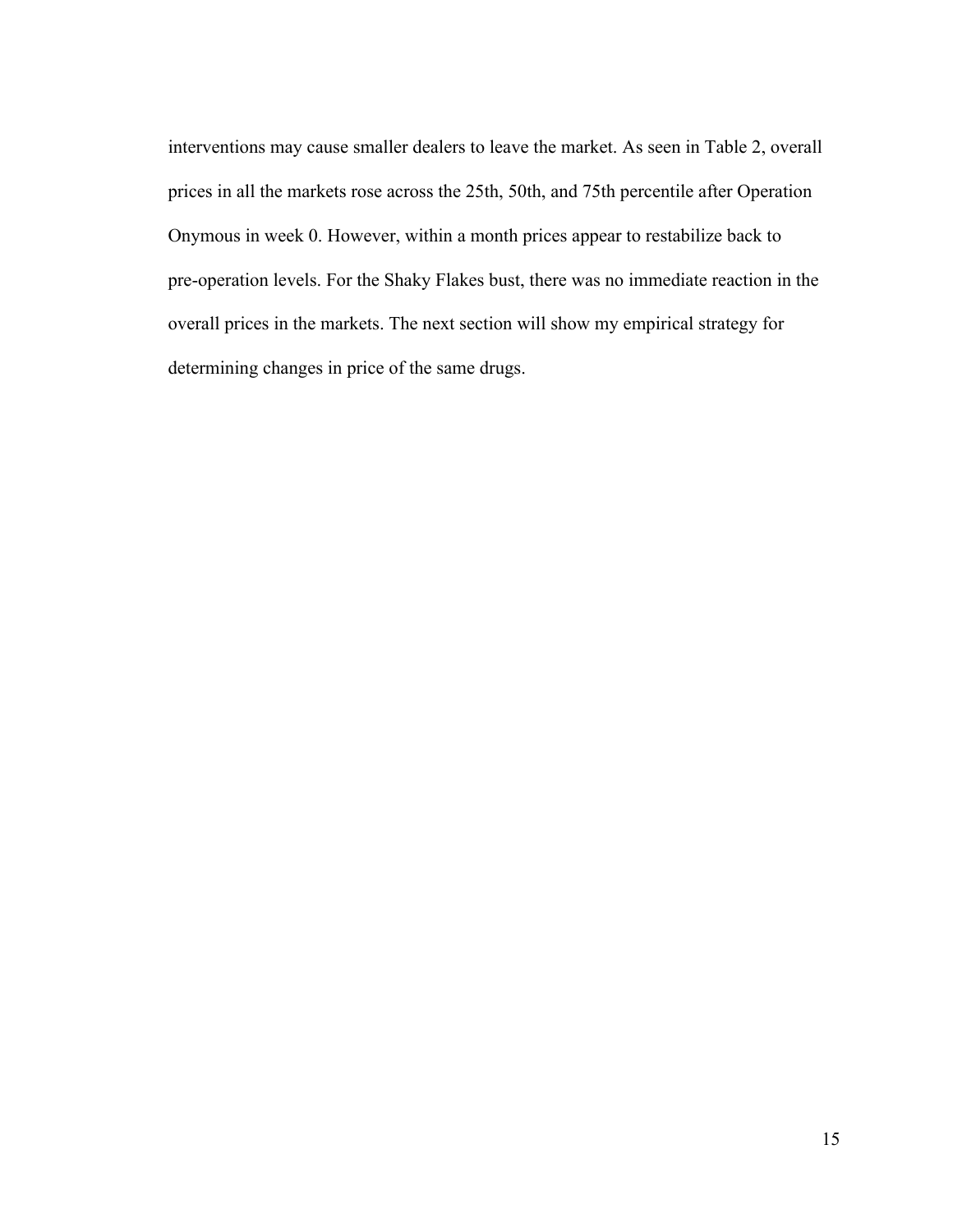interventions may cause smaller dealers to leave the market. As seen in Table 2, overall prices in all the markets rose across the 25th, 50th, and 75th percentile after Operation Onymous in week 0. However, within a month prices appear to restabilize back to pre-operation levels. For the Shaky Flakes bust, there was no immediate reaction in the overall prices in the markets. The next section will show my empirical strategy for determining changes in price of the same drugs.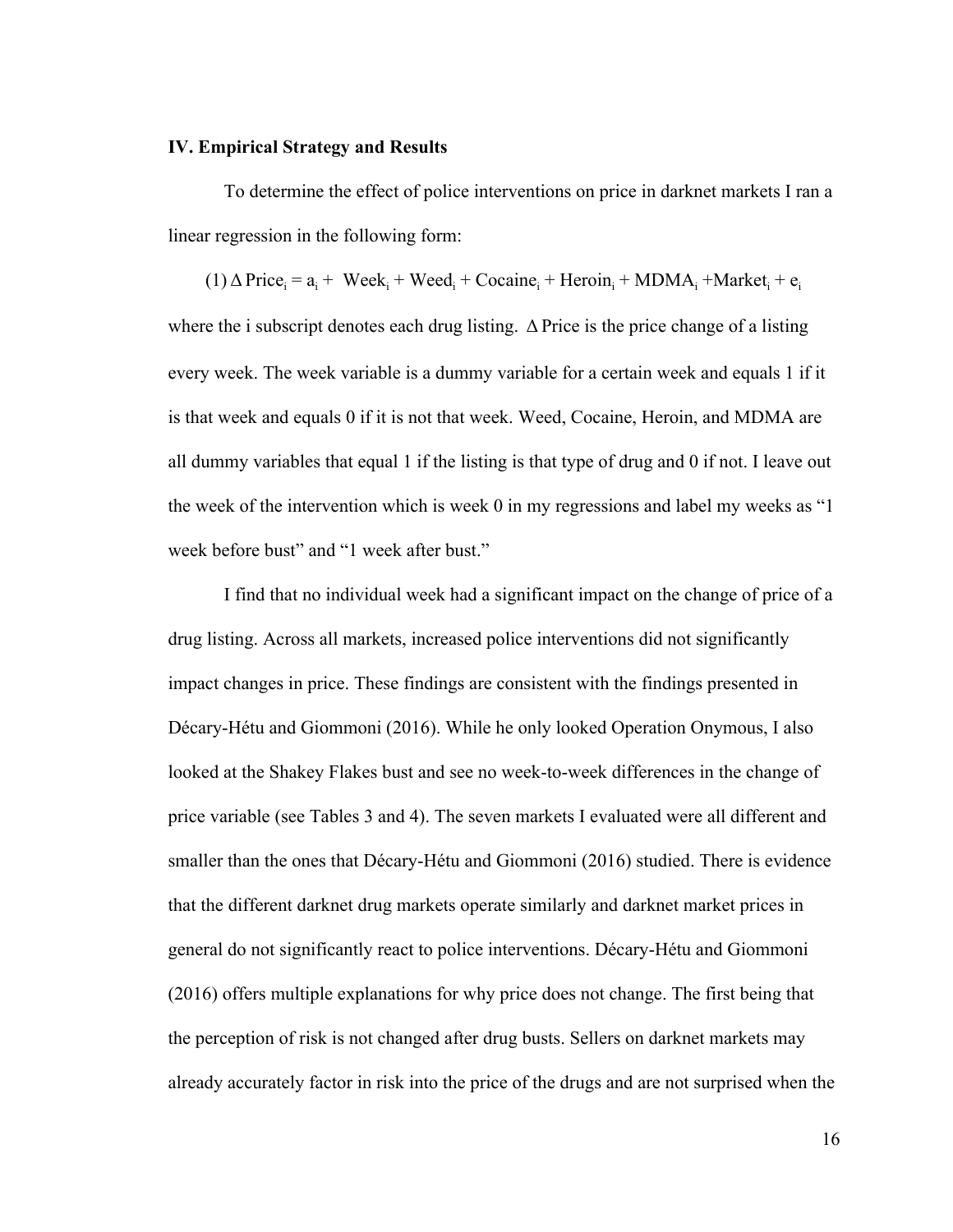#### **IV. Empirical Strategy and Results**

To determine the effect of police interventions on price in darknet markets I ran a linear regression in the following form:

 $(1)$   $\Delta$  Price<sub>i</sub> =  $a_i$  + Week<sub>i</sub> + Weed<sub>i</sub> + Cocaine<sub>i</sub> + Heroin<sub>i</sub> + MDMA<sub>i</sub> + Market<sub>i</sub> + e<sub>i</sub> where the i subscript denotes each drug listing. Δ Price is the price change of a listing every week. The week variable is a dummy variable for a certain week and equals 1 if it is that week and equals 0 if it is not that week. Weed, Cocaine, Heroin, and MDMA are all dummy variables that equal 1 if the listing is that type of drug and 0 if not. I leave out the week of the intervention which is week 0 in my regressions and label my weeks as "1 week before bust" and "1 week after bust."

I find that no individual week had a significant impact on the change of price of a drug listing. Across all markets, increased police interventions did not significantly impact changes in price. These findings are consistent with the findings presented in Décary-Hétu and Giommoni (2016). While he only looked Operation Onymous, I also looked at the Shakey Flakes bust and see no week-to-week differences in the change of price variable (see Tables 3 and 4). The seven markets I evaluated were all different and smaller than the ones that Décary-Hétu and Giommoni (2016) studied. There is evidence that the different darknet drug markets operate similarly and darknet market prices in general do not significantly react to police interventions. Décary-Hétu and Giommoni (2016) offers multiple explanations for why price does not change. The first being that the perception of risk is not changed after drug busts. Sellers on darknet markets may already accurately factor in risk into the price of the drugs and are not surprised when the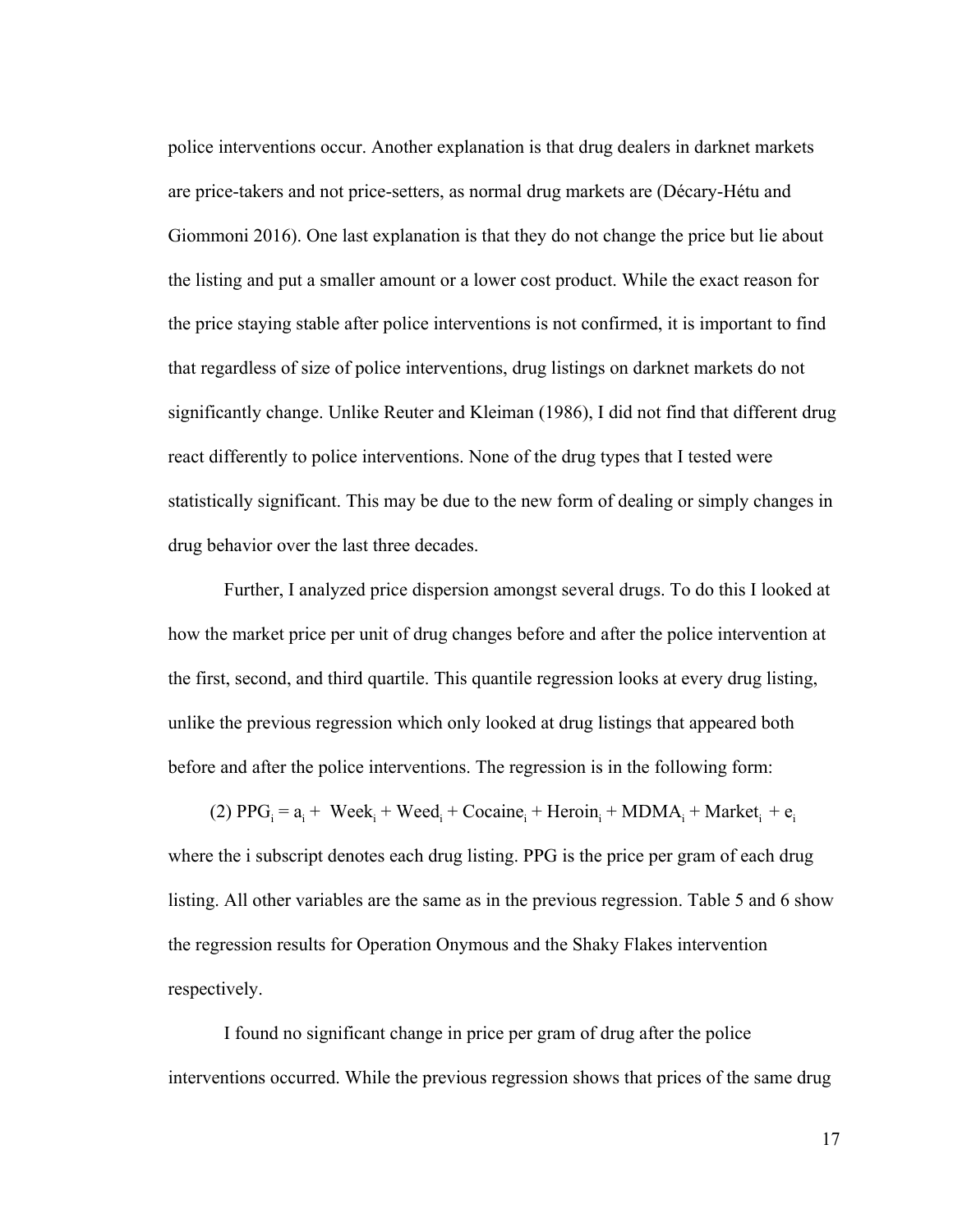police interventions occur. Another explanation is that drug dealers in darknet markets are price-takers and not price-setters, as normal drug markets are (Décary-Hétu and Giommoni 2016). One last explanation is that they do not change the price but lie about the listing and put a smaller amount or a lower cost product. While the exact reason for the price staying stable after police interventions is not confirmed, it is important to find that regardless of size of police interventions, drug listings on darknet markets do not significantly change. Unlike Reuter and Kleiman (1986), I did not find that different drug react differently to police interventions. None of the drug types that I tested were statistically significant. This may be due to the new form of dealing or simply changes in drug behavior over the last three decades.

Further, I analyzed price dispersion amongst several drugs. To do this I looked at how the market price per unit of drug changes before and after the police intervention at the first, second, and third quartile. This quantile regression looks at every drug listing, unlike the previous regression which only looked at drug listings that appeared both before and after the police interventions. The regression is in the following form:

(2)  $PPG_i = a_i + \text{Week}_i + \text{Weed}_i + \text{Cocaine}_i + \text{Heroin}_i + \text{MDMA}_i + \text{Market}_i + e_i$ 

where the i subscript denotes each drug listing. PPG is the price per gram of each drug listing. All other variables are the same as in the previous regression. Table 5 and 6 show the regression results for Operation Onymous and the Shaky Flakes intervention respectively.

I found no significant change in price per gram of drug after the police interventions occurred. While the previous regression shows that prices of the same drug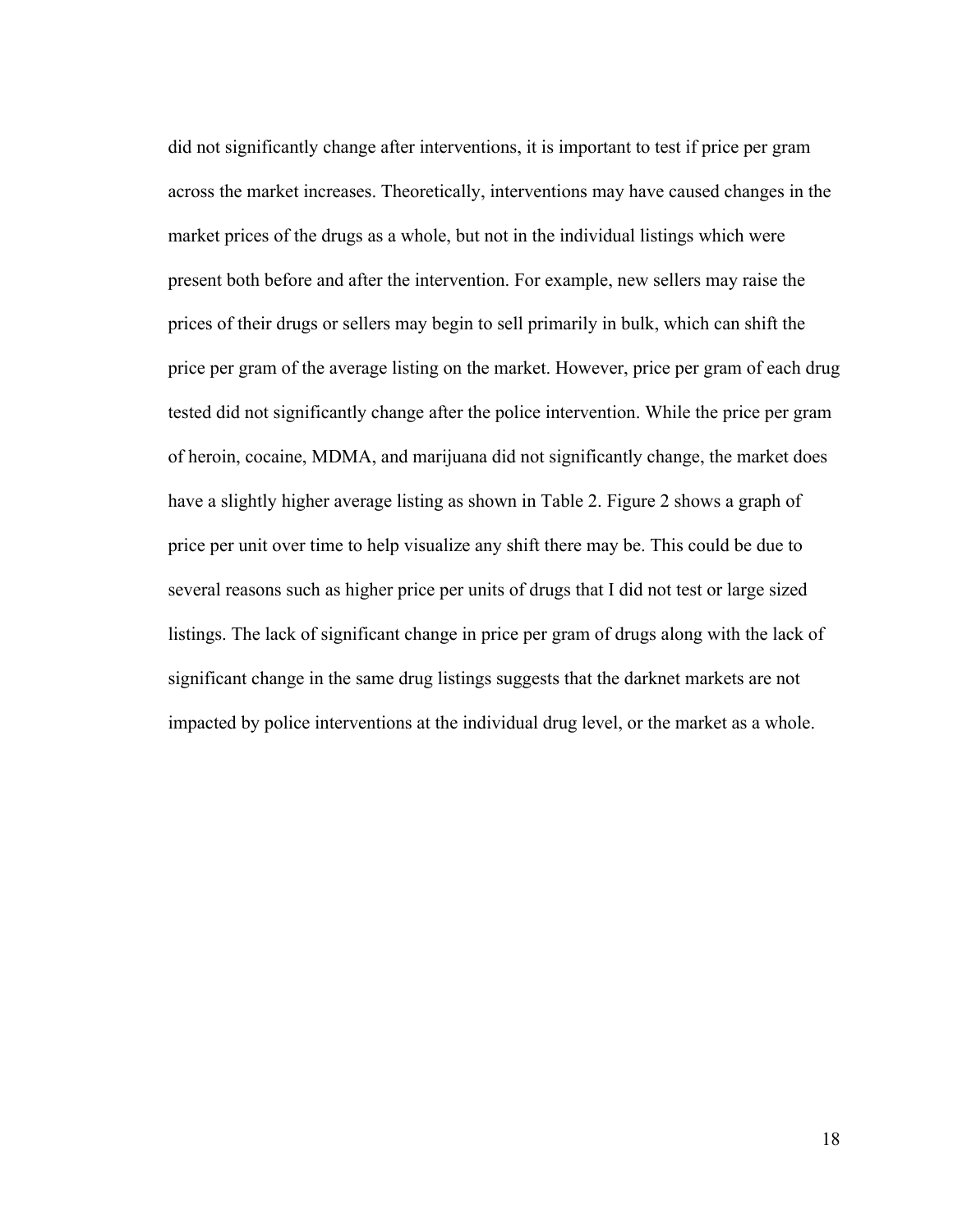did not significantly change after interventions, it is important to test if price per gram across the market increases. Theoretically, interventions may have caused changes in the market prices of the drugs as a whole, but not in the individual listings which were present both before and after the intervention. For example, new sellers may raise the prices of their drugs or sellers may begin to sell primarily in bulk, which can shift the price per gram of the average listing on the market. However, price per gram of each drug tested did not significantly change after the police intervention. While the price per gram of heroin, cocaine, MDMA, and marijuana did not significantly change, the market does have a slightly higher average listing as shown in Table 2. Figure 2 shows a graph of price per unit over time to help visualize any shift there may be. This could be due to several reasons such as higher price per units of drugs that I did not test or large sized listings. The lack of significant change in price per gram of drugs along with the lack of significant change in the same drug listings suggests that the darknet markets are not impacted by police interventions at the individual drug level, or the market as a whole.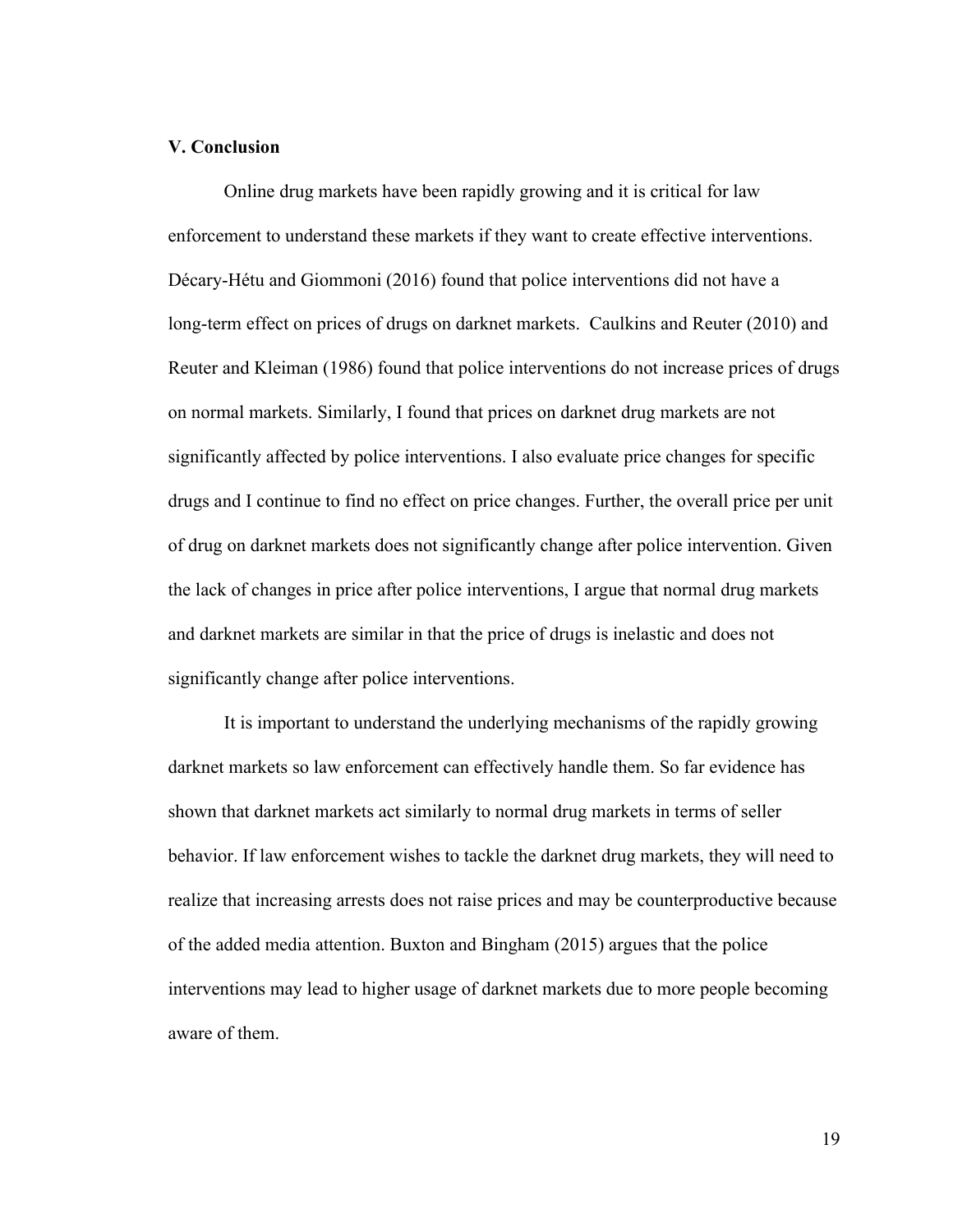## **V. Conclusion**

Online drug markets have been rapidly growing and it is critical for law enforcement to understand these markets if they want to create effective interventions. Décary-Hétu and Giommoni (2016) found that police interventions did not have a long-term effect on prices of drugs on darknet markets. Caulkins and Reuter (2010) and Reuter and Kleiman (1986) found that police interventions do not increase prices of drugs on normal markets. Similarly, I found that prices on darknet drug markets are not significantly affected by police interventions. I also evaluate price changes for specific drugs and I continue to find no effect on price changes. Further, the overall price per unit of drug on darknet markets does not significantly change after police intervention. Given the lack of changes in price after police interventions, I argue that normal drug markets and darknet markets are similar in that the price of drugs is inelastic and does not significantly change after police interventions.

It is important to understand the underlying mechanisms of the rapidly growing darknet markets so law enforcement can effectively handle them. So far evidence has shown that darknet markets act similarly to normal drug markets in terms of seller behavior. If law enforcement wishes to tackle the darknet drug markets, they will need to realize that increasing arrests does not raise prices and may be counterproductive because of the added media attention. Buxton and Bingham (2015) argues that the police interventions may lead to higher usage of darknet markets due to more people becoming aware of them.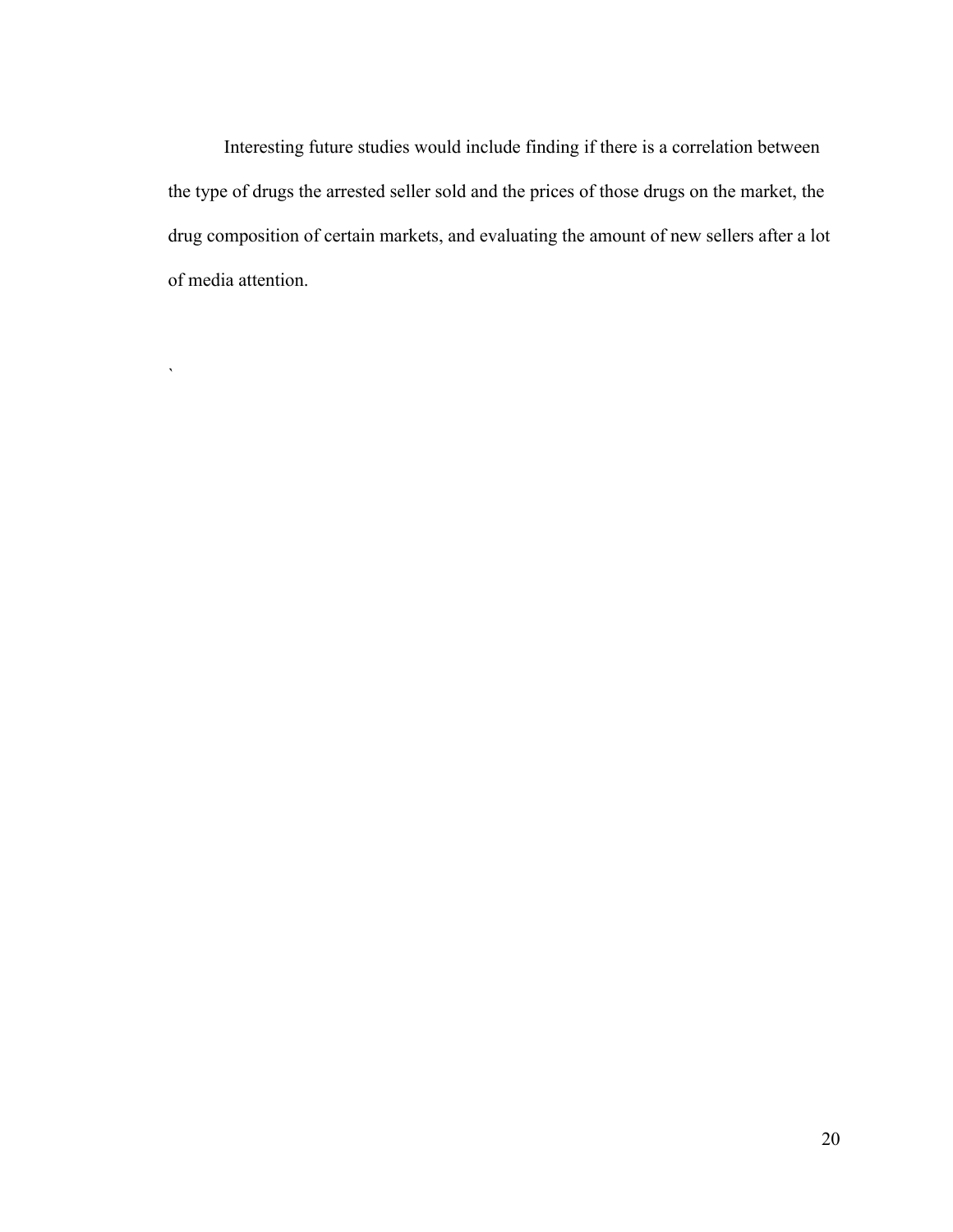Interesting future studies would include finding if there is a correlation between the type of drugs the arrested seller sold and the prices of those drugs on the market, the drug composition of certain markets, and evaluating the amount of new sellers after a lot of media attention.

`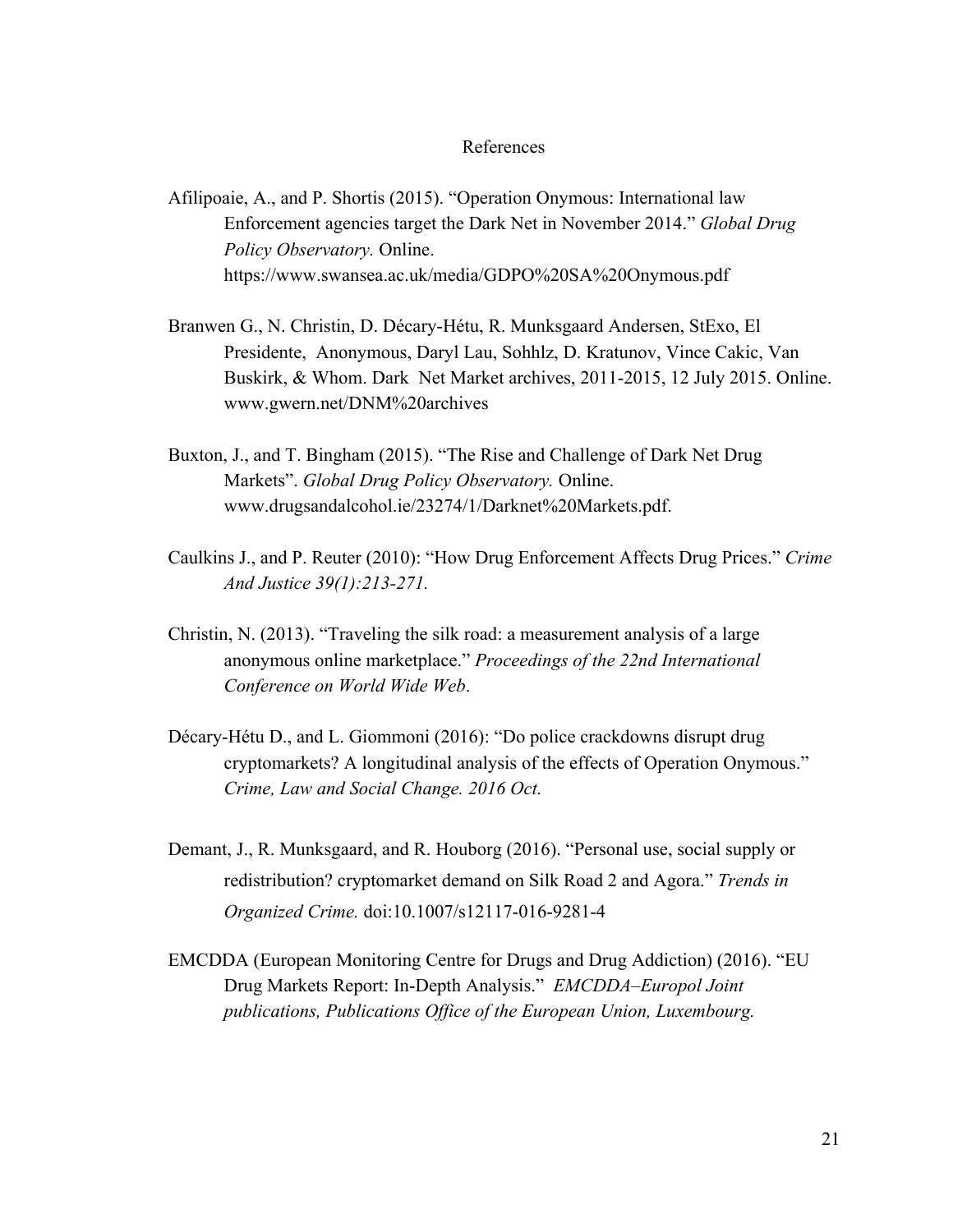#### References

- Afilipoaie, A., and P. Shortis (2015). "Operation Onymous: International law Enforcement agencies target the Dark Net in November 2014." *Global Drug Policy Observatory.* Online. https://www.swansea.ac.uk/media/GDPO%20SA%20Onymous.pdf
- Branwen G., N. Christin, D. Décary-Hétu, R. Munksgaard Andersen, StExo, El Presidente, Anonymous, Daryl Lau, Sohhlz, D. Kratunov, Vince Cakic, Van Buskirk, & Whom. Dark Net Market archives, 2011-2015, 12 July 2015. Online. [www.gwern.net/DNM%20archives](https://www.gwern.net/DNM%20archives)
- Buxton, J., and T. Bingham (2015). "The Rise and Challenge of Dark Net Drug Markets". *Global Drug Policy Observatory.* Online. www.drugsandalcohol.ie/23274/1/Darknet%20Markets.pdf.
- Caulkins J., and P. Reuter (2010): "How Drug Enforcement Affects Drug Prices." *Crime And Justice 39(1):213-271.*
- Christin, N. (2013). "Traveling the silk road: a measurement analysis of a large anonymous online marketplace." *Proceedings of the 22nd International Conference on World Wide Web*.
- Décary-Hétu D., and L. Giommoni (2016): "Do police crackdowns disrupt drug cryptomarkets? A longitudinal analysis of the effects of Operation Onymous." *Crime, Law and Social Change. 2016 Oct.*
- Demant, J., R. Munksgaard, and R. Houborg (2016). ["Personal use, social supply or](https://www.gwern.net/docs/sr/2016-demant.pdf) [redistribution? cryptomarket demand on Silk Road 2 and Agora."](https://www.gwern.net/docs/sr/2016-demant.pdf) *[Trends in](https://www.gwern.net/docs/sr/2016-demant.pdf) [Organized Crime.](https://www.gwern.net/docs/sr/2016-demant.pdf)* [doi:10.1007/s12117-016-9281-4](https://www.gwern.net/docs/sr/2016-demant.pdf)
- EMCDDA (European Monitoring Centre for Drugs and Drug Addiction) (2016). "EU Drug Markets Report: In-Depth Analysis." *EMCDDA–Europol Joint publications, Publications Office of the European Union, Luxembourg.*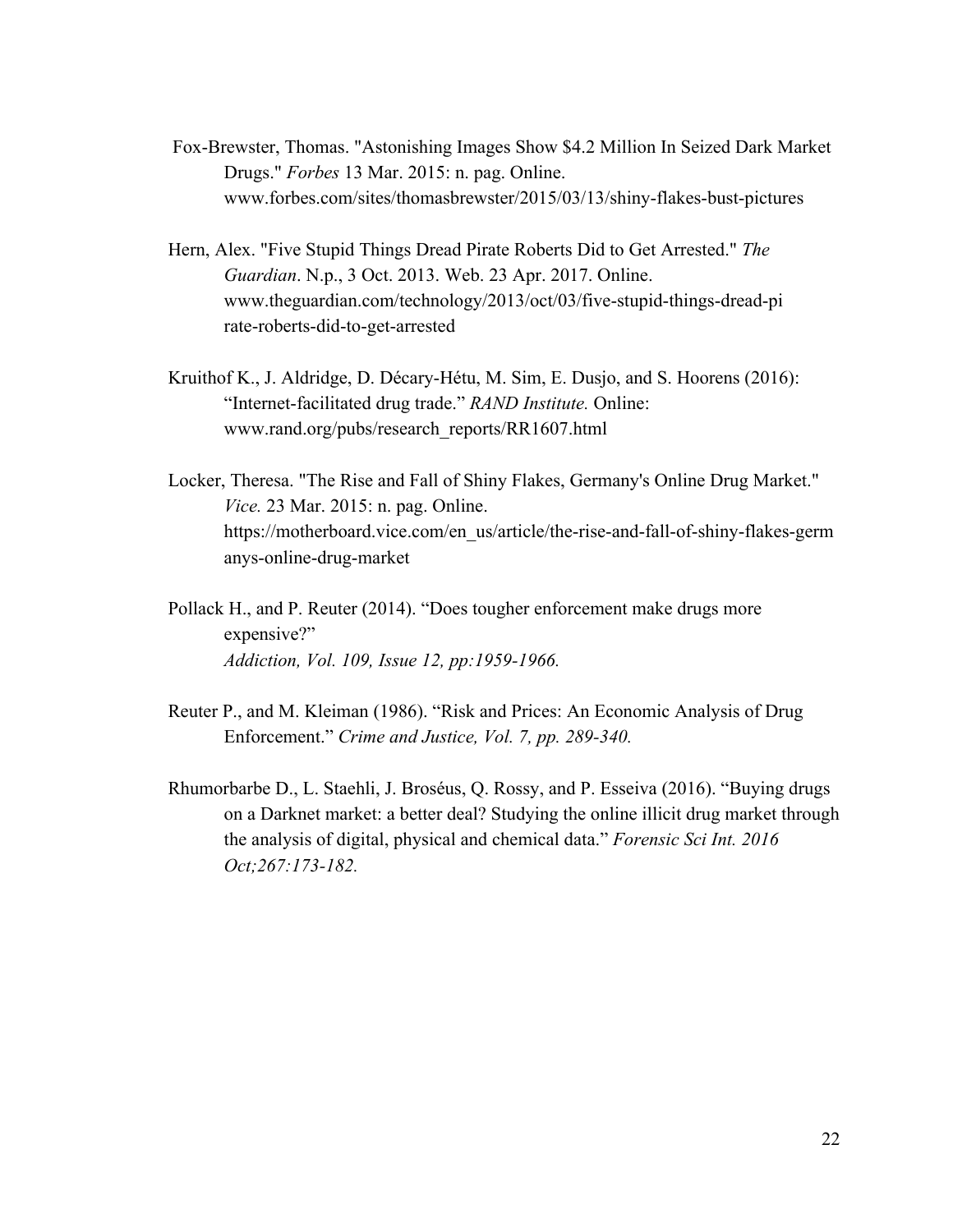- Fox-Brewster, Thomas. "Astonishing Images Show \$4.2 Million In Seized Dark Market Drugs." *Forbes* 13 Mar. 2015: n. pag. Online. www.forbes.com/sites/thomasbrewster/2015/03/13/shiny-flakes-bust-pictures
- Hern, Alex. "Five Stupid Things Dread Pirate Roberts Did to Get Arrested." *The Guardian*. N.p., 3 Oct. 2013. Web. 23 Apr. 2017. Online. [www.theguardian.com/technology/2013/oct/03/five-stupid-things-dread-pi](https://www.theguardian.com/technology/2013/oct/03/five-stupid-things-dread-pi) rate-roberts-did-to-get-arrested
- Kruithof K., J. Aldridge, D. Décary-Hétu, M. Sim, E. Dusjo, and S. Hoorens (2016): "Internet-facilitated drug trade." *RAND Institute.* Online: [www.rand.org/pubs/research\\_reports/RR1607.html](http://www.rand.org/pubs/research_reports/RR1607.html)
- Locker, Theresa. "The Rise and Fall of Shiny Flakes, Germany's Online Drug Market." *Vice.* 23 Mar. 2015: n. pag. Online. [https://motherboard.vice.com/en\\_us/article/the-rise-and-fall-of-shiny-flakes-germ](https://motherboard.vice.com/en_us/article/the-rise-and-fall-of-shiny-flakes-germ) anys-online-drug-market
- Pollack H., and P. Reuter (2014). "Does tougher enforcement make drugs more expensive?" *Addiction, Vol. 109, Issue 12, pp:1959-1966.*
- Reuter P., and M. Kleiman (1986). "Risk and Prices: An Economic Analysis of Drug Enforcement." *Crime and Justice, Vol. 7, pp. 289-340.*
- Rhumorbarbe D., L. Staehli, J. Broséus, Q. Rossy, and P. Esseiva (2016). ["Buying drugs](https://www.gwern.net/docs/sr/2016-damien.pdf) [on a Darknet market: a better deal? Studying the online illicit drug market through](https://www.gwern.net/docs/sr/2016-damien.pdf) [the analysis of digital, physical and chemical data."](https://www.gwern.net/docs/sr/2016-damien.pdf) *[Forensic Sci Int. 2016](https://www.gwern.net/docs/sr/2016-damien.pdf) [Oct;267:173-182.](https://www.gwern.net/docs/sr/2016-damien.pdf)*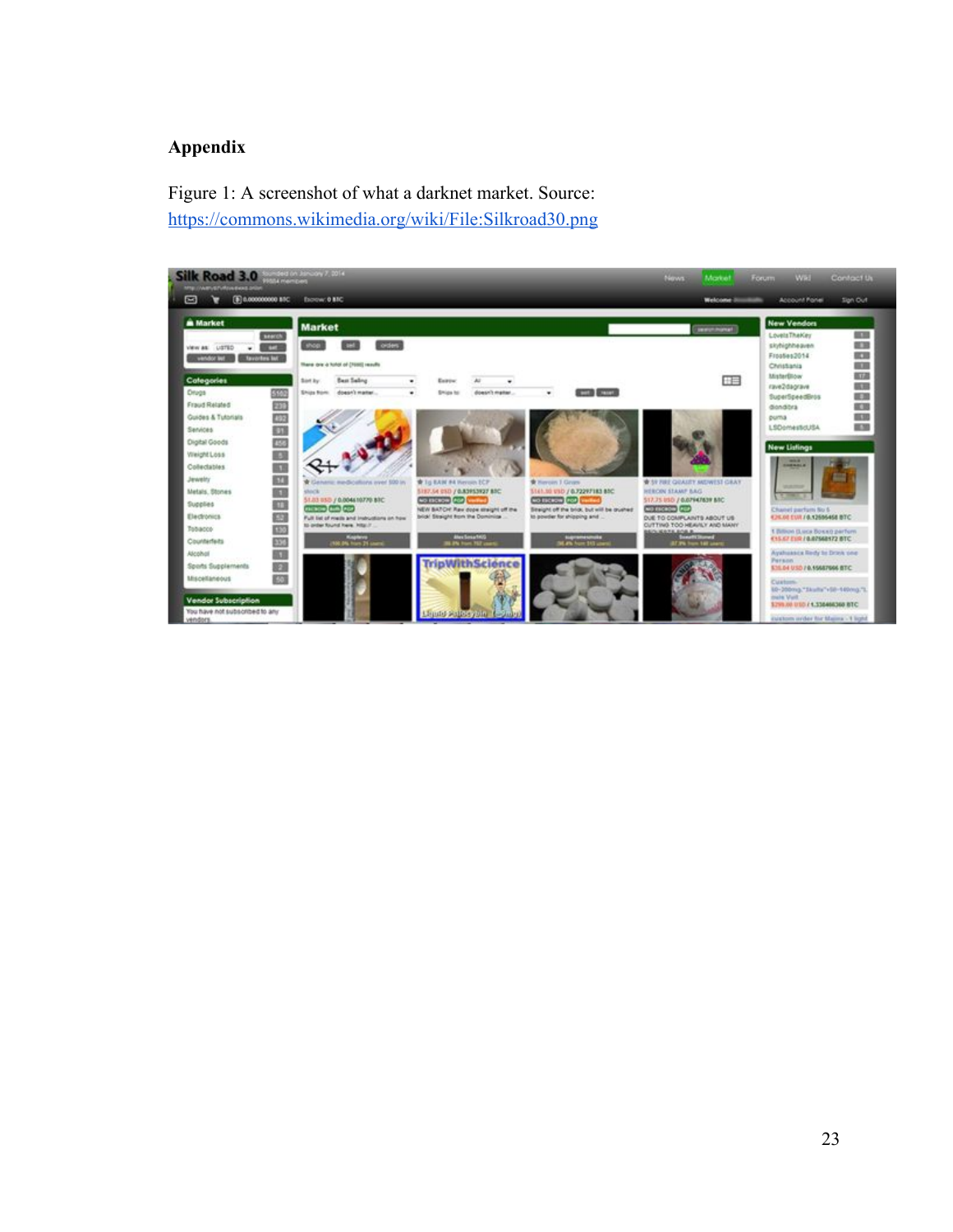## **Appendix**

Figure 1: A screenshot of what a darknet market. Source: <https://commons.wikimedia.org/wiki/File:Silkroad30.png>

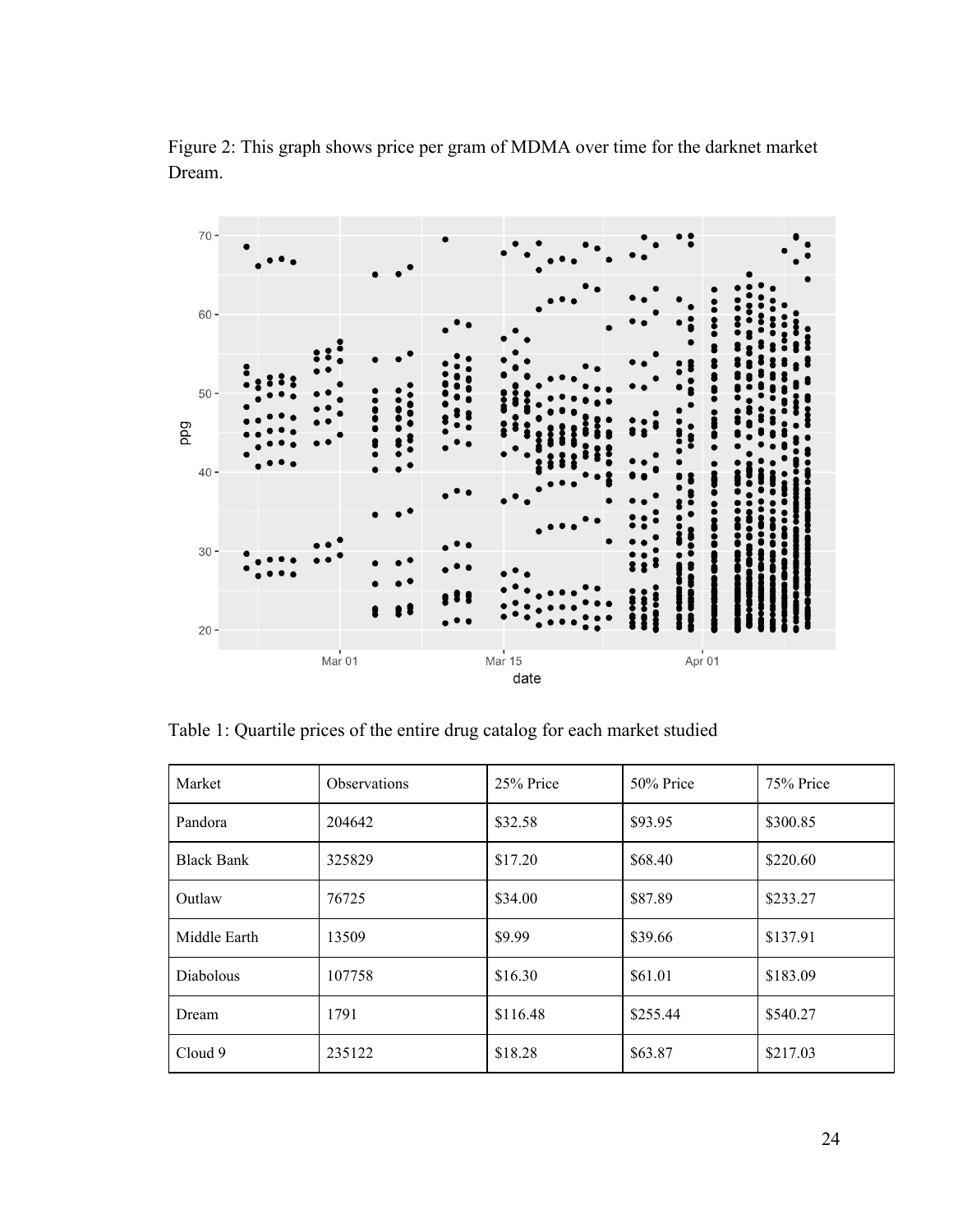

Figure 2: This graph shows price per gram of MDMA over time for the darknet market Dream.

Table 1: Quartile prices of the entire drug catalog for each market studied

| Market            | <b>Observations</b> | 25% Price | 50% Price | 75% Price |
|-------------------|---------------------|-----------|-----------|-----------|
| Pandora           | 204642              | \$32.58   | \$93.95   | \$300.85  |
| <b>Black Bank</b> | 325829              | \$17.20   | \$68.40   | \$220.60  |
| Outlaw            | 76725               | \$34.00   | \$87.89   | \$233.27  |
| Middle Earth      | 13509               | \$9.99    | \$39.66   | \$137.91  |
| <b>Diabolous</b>  | 107758              | \$16.30   | \$61.01   | \$183.09  |
| Dream             | 1791                | \$116.48  | \$255.44  | \$540.27  |
| Cloud 9           | 235122              | \$18.28   | \$63.87   | \$217.03  |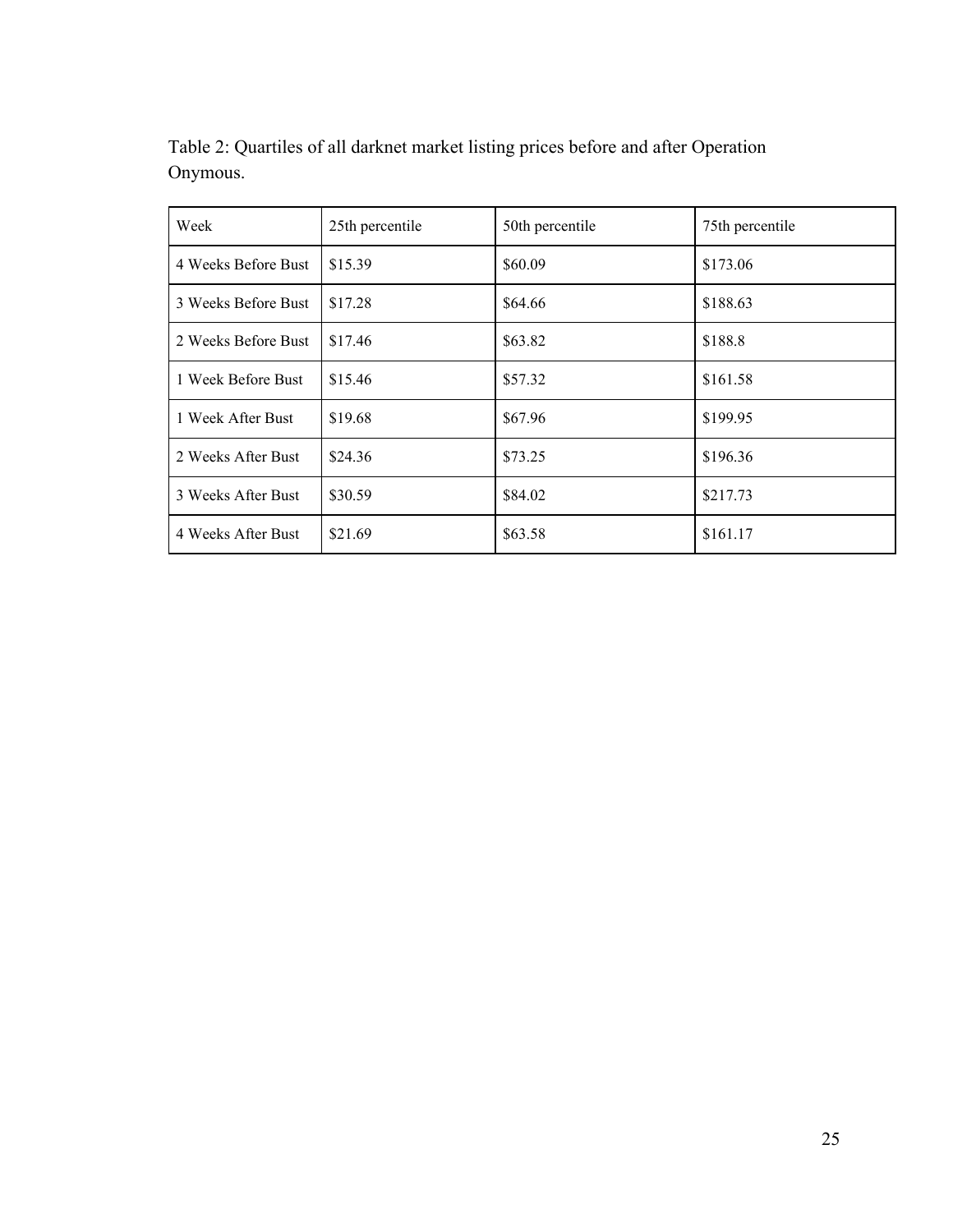| Week                | 25th percentile | 50th percentile | 75th percentile |
|---------------------|-----------------|-----------------|-----------------|
| 4 Weeks Before Bust | \$15.39         | \$60.09         | \$173.06        |
| 3 Weeks Before Bust | \$17.28         | \$64.66         | \$188.63        |
| 2 Weeks Before Bust | \$17.46         | \$63.82         | \$188.8         |
| 1 Week Before Bust  | \$15.46         | \$57.32         | \$161.58        |
| 1 Week After Bust   | \$19.68         | \$67.96         | \$199.95        |
| 2 Weeks After Bust  | \$24.36         | \$73.25         | \$196.36        |
| 3 Weeks After Bust  | \$30.59         | \$84.02         | \$217.73        |
| 4 Weeks After Bust  | \$21.69         | \$63.58         | \$161.17        |

Table 2: Quartiles of all darknet market listing prices before and after Operation Onymous.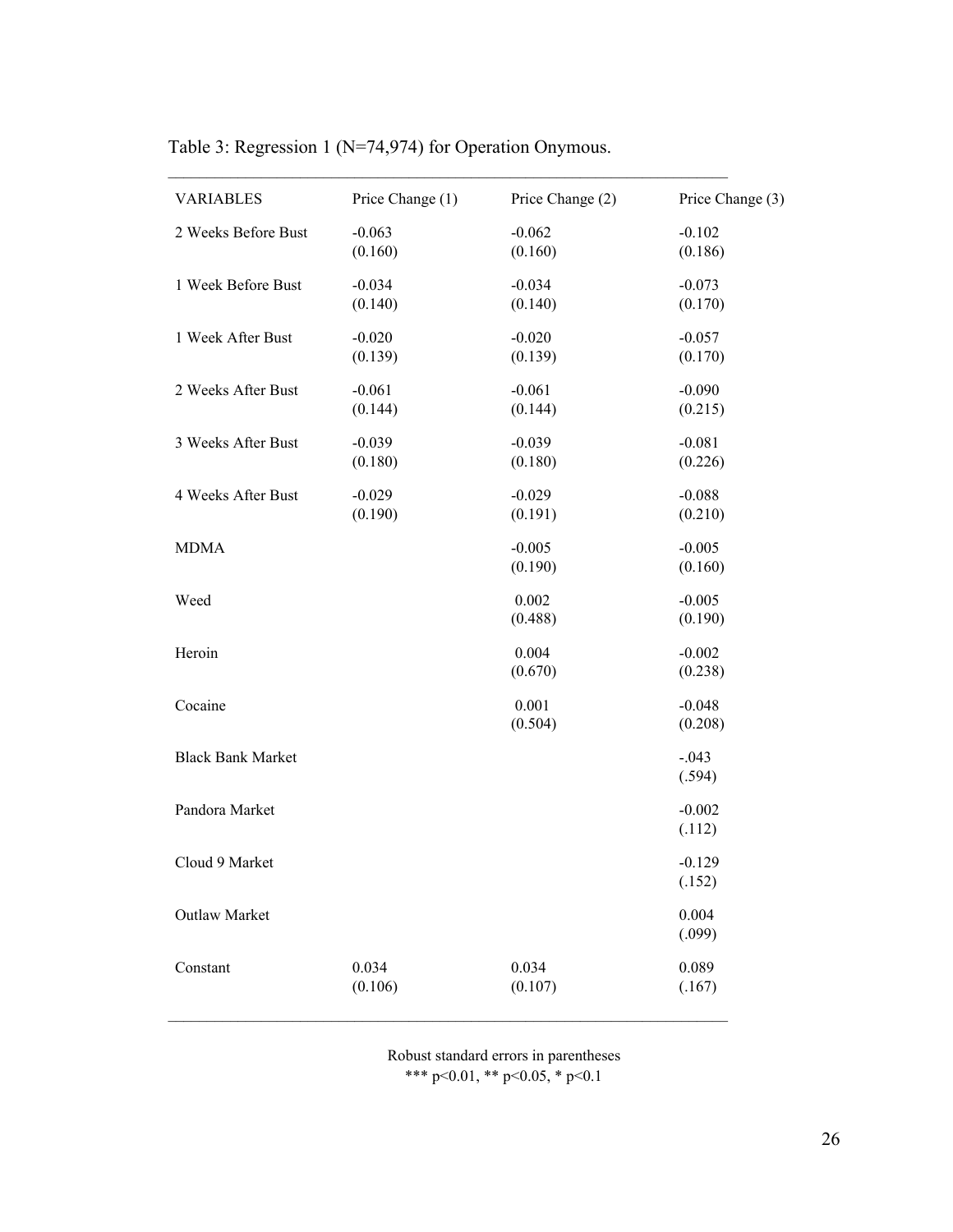| <b>VARIABLES</b>         | Price Change (1) | Price Change (2) | Price Change (3) |
|--------------------------|------------------|------------------|------------------|
| 2 Weeks Before Bust      | $-0.063$         | $-0.062$         | $-0.102$         |
|                          | (0.160)          | (0.160)          | (0.186)          |
| 1 Week Before Bust       | $-0.034$         | $-0.034$         | $-0.073$         |
|                          | (0.140)          | (0.140)          | (0.170)          |
| 1 Week After Bust        | $-0.020$         | $-0.020$         | $-0.057$         |
|                          | (0.139)          | (0.139)          | (0.170)          |
| 2 Weeks After Bust       | $-0.061$         | $-0.061$         | $-0.090$         |
|                          | (0.144)          | (0.144)          | (0.215)          |
| 3 Weeks After Bust       | $-0.039$         | $-0.039$         | $-0.081$         |
|                          | (0.180)          | (0.180)          | (0.226)          |
| 4 Weeks After Bust       | $-0.029$         | $-0.029$         | $-0.088$         |
|                          | (0.190)          | (0.191)          | (0.210)          |
| <b>MDMA</b>              |                  | $-0.005$         | $-0.005$         |
|                          |                  | (0.190)          | (0.160)          |
| Weed                     |                  | 0.002            | $-0.005$         |
|                          |                  | (0.488)          | (0.190)          |
| Heroin                   |                  | 0.004            | $-0.002$         |
|                          |                  | (0.670)          | (0.238)          |
| Cocaine                  |                  | 0.001            | $-0.048$         |
|                          |                  | (0.504)          | (0.208)          |
| <b>Black Bank Market</b> |                  |                  | $-.043$          |
|                          |                  |                  | (.594)           |
| Pandora Market           |                  |                  | $-0.002$         |
|                          |                  |                  | (.112)           |
| Cloud 9 Market           |                  |                  | $-0.129$         |
|                          |                  |                  | (.152)           |
| Outlaw Market            |                  |                  | 0.004            |
|                          |                  |                  | (.099)           |
| Constant                 | 0.034            | 0.034            | 0.089            |
|                          | (0.106)          | (0.107)          | (.167)           |

Table 3: Regression 1 (N=74,974) for Operation Onymous.

 $\mathcal{L}_\text{max}$  and the contribution of the contribution of the contribution of the contribution of the contribution of

Robust standard errors in parentheses \*\*\* p<0.01, \*\* p<0.05, \* p<0.1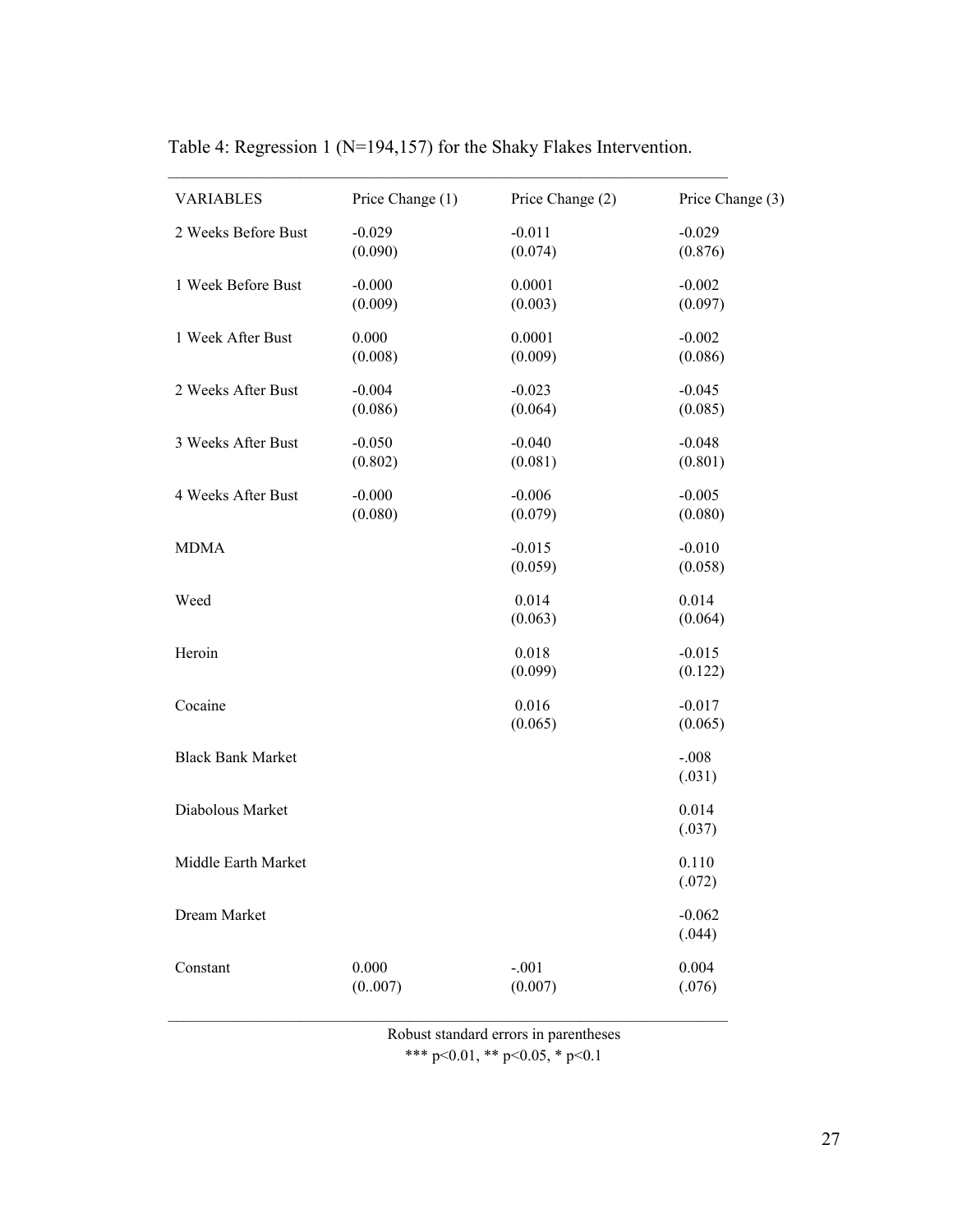| <b>VARIABLES</b>         | Price Change (1)    | Price Change (2)    | Price Change (3)    |
|--------------------------|---------------------|---------------------|---------------------|
| 2 Weeks Before Bust      | $-0.029$<br>(0.090) | $-0.011$<br>(0.074) | $-0.029$<br>(0.876) |
| 1 Week Before Bust       | $-0.000$<br>(0.009) | 0.0001<br>(0.003)   | $-0.002$<br>(0.097) |
| 1 Week After Bust        | 0.000<br>(0.008)    | 0.0001<br>(0.009)   | $-0.002$<br>(0.086) |
| 2 Weeks After Bust       | $-0.004$<br>(0.086) | $-0.023$<br>(0.064) | $-0.045$<br>(0.085) |
| 3 Weeks After Bust       | $-0.050$<br>(0.802) | $-0.040$<br>(0.081) | $-0.048$<br>(0.801) |
| 4 Weeks After Bust       | $-0.000$<br>(0.080) | $-0.006$<br>(0.079) | $-0.005$<br>(0.080) |
| <b>MDMA</b>              |                     | $-0.015$<br>(0.059) | $-0.010$<br>(0.058) |
| Weed                     |                     | 0.014<br>(0.063)    | 0.014<br>(0.064)    |
| Heroin                   |                     | 0.018<br>(0.099)    | $-0.015$<br>(0.122) |
| Cocaine                  |                     | 0.016<br>(0.065)    | $-0.017$<br>(0.065) |
| <b>Black Bank Market</b> |                     |                     | $-.008$<br>(.031)   |
| Diabolous Market         |                     |                     | 0.014<br>(.037)     |
| Middle Earth Market      |                     |                     | 0.110<br>(.072)     |
| Dream Market             |                     |                     | $-0.062$<br>(.044)  |
| Constant                 | 0.000<br>(0007)     | $-.001$<br>(0.007)  | 0.004<br>(.076)     |

Table 4: Regression 1 (N=194,157) for the Shaky Flakes Intervention.

 $\mathcal{L}_\text{max}$  and the contribution of the contribution of the contribution of the contribution of the contribution of

Robust standard errors in parentheses \*\*\* p<0.01, \*\* p<0.05, \* p<0.1

 $\mathcal{L}_\text{max}$  and the contribution of the contribution of the contribution of the contribution of the contribution of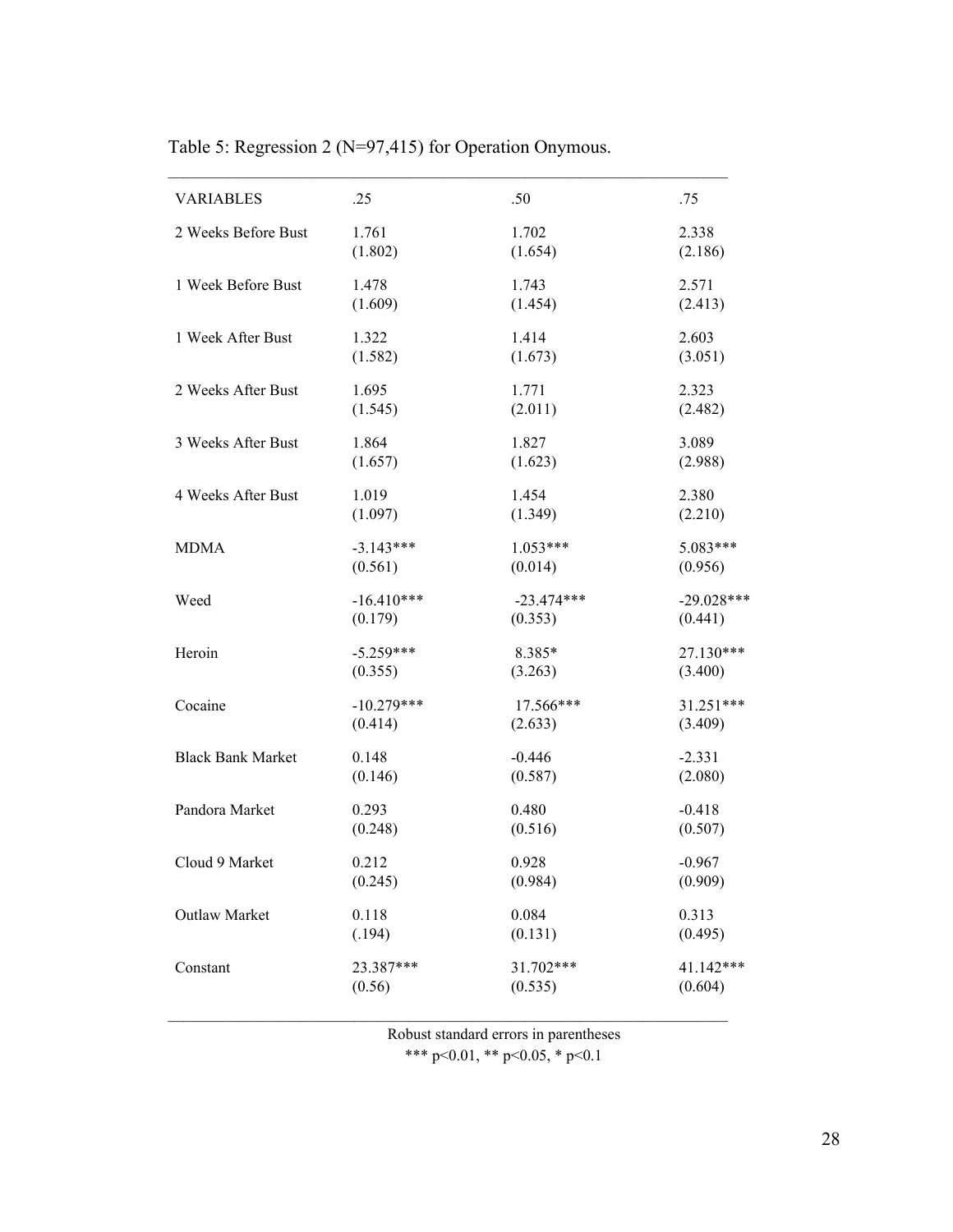| <b>VARIABLES</b>         | .25          | .50          | .75          |
|--------------------------|--------------|--------------|--------------|
| 2 Weeks Before Bust      | 1.761        | 1.702        | 2.338        |
|                          | (1.802)      | (1.654)      | (2.186)      |
| 1 Week Before Bust       | 1.478        | 1.743        | 2.571        |
|                          | (1.609)      | (1.454)      | (2.413)      |
| 1 Week After Bust        | 1.322        | 1.414        | 2.603        |
|                          | (1.582)      | (1.673)      | (3.051)      |
| 2 Weeks After Bust       | 1.695        | 1.771        | 2.323        |
|                          | (1.545)      | (2.011)      | (2.482)      |
| 3 Weeks After Bust       | 1.864        | 1.827        | 3.089        |
|                          | (1.657)      | (1.623)      | (2.988)      |
| 4 Weeks After Bust       | 1.019        | 1.454        | 2.380        |
|                          | (1.097)      | (1.349)      | (2.210)      |
| <b>MDMA</b>              | $-3.143***$  | $1.053***$   | 5.083***     |
|                          | (0.561)      | (0.014)      | (0.956)      |
| Weed                     | $-16.410***$ | $-23.474***$ | $-29.028***$ |
|                          | (0.179)      | (0.353)      | (0.441)      |
| Heroin                   | $-5.259***$  | 8.385*       | 27.130***    |
|                          | (0.355)      | (3.263)      | (3.400)      |
| Cocaine                  | $-10.279***$ | 17.566***    | 31.251***    |
|                          | (0.414)      | (2.633)      | (3.409)      |
| <b>Black Bank Market</b> | 0.148        | $-0.446$     | $-2.331$     |
|                          | (0.146)      | (0.587)      | (2.080)      |
| Pandora Market           | 0.293        | 0.480        | $-0.418$     |
|                          | (0.248)      | (0.516)      | (0.507)      |
| Cloud 9 Market           | 0.212        | 0.928        | $-0.967$     |
|                          | (0.245)      | (0.984)      | (0.909)      |
| Outlaw Market            | 0.118        | 0.084        | 0.313        |
|                          | (.194)       | (0.131)      | (0.495)      |
| Constant                 | 23.387***    | 31.702***    | 41.142***    |
|                          | (0.56)       | (0.535)      | (0.604)      |
|                          |              |              |              |

Table 5: Regression 2 (N=97,415) for Operation Onymous.

Robust standard errors in parentheses

 $\mathcal{L}_\text{max}$  and the contribution of the contribution of the contribution of the contribution of the contribution of

\*\*\* p<0.01, \*\* p<0.05, \* p<0.1